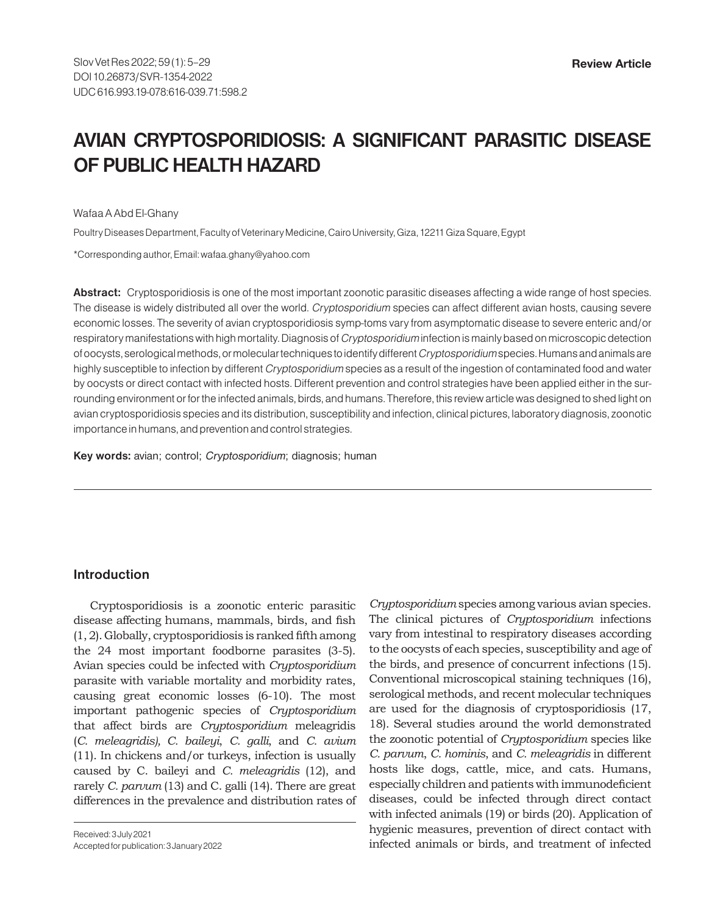# **AVIAN CRYPTOSPORIDIOSIS: A SIGNIFICANT PARASITIC DISEASE OF PUBLIC HEALTH HAZARD**

Wafaa A Abd El-Ghany

Poultry Diseases Department, Faculty of Veterinary Medicine, Cairo University, Giza, 12211 Giza Square, Egypt

\*Corresponding author, Email: wafaa.ghany@yahoo.com

**Abstract:** Cryptosporidiosis is one of the most important zoonotic parasitic diseases affecting a wide range of host species. The disease is widely distributed all over the world. Cryptosporidium species can affect different avian hosts, causing severe economic losses. The severity of avian cryptosporidiosis symp-toms vary from asymptomatic disease to severe enteric and/or respiratory manifestations with high mortality. Diagnosis of Cryptosporidium infection is mainly based on microscopic detection of oocysts, serological methods, or molecular techniques to identify different Cryptosporidium species. Humans and animals are highly susceptible to infection by different Cryptosporidium species as a result of the ingestion of contaminated food and water by oocysts or direct contact with infected hosts. Different prevention and control strategies have been applied either in the surrounding environment or for the infected animals, birds, and humans. Therefore, this review article was designed to shed light on avian cryptosporidiosis species and its distribution, susceptibility and infection, clinical pictures, laboratory diagnosis, zoonotic importance in humans, and prevention and control strategies.

**Key words:** avian; control; Cryptosporidium; diagnosis; human

#### **Introduction**

Cryptosporidiosis is a zoonotic enteric parasitic disease affecting humans, mammals, birds, and fish (1, 2). Globally, cryptosporidiosis is ranked fifth among the 24 most important foodborne parasites (3-5). Avian species could be infected with *Cryptosporidium* parasite with variable mortality and morbidity rates, causing great economic losses (6-10). The most important pathogenic species of *Cryptosporidium* that affect birds are *Cryptosporidium* meleagridis (*C. meleagridis), C. baileyi*, *C. galli*, and *C. avium* (11). In chickens and/or turkeys, infection is usually caused by C. baileyi and *C. meleagridis* (12), and rarely *C. parvum* (13) and C. galli (14). There are great differences in the prevalence and distribution rates of

Received: 3 July 2021 Accepted for publication: 3 January 2022 *Cryptosporidium* species among various avian species. The clinical pictures of *Cryptosporidium* infections vary from intestinal to respiratory diseases according to the oocysts of each species, susceptibility and age of the birds, and presence of concurrent infections (15). Conventional microscopical staining techniques (16), serological methods, and recent molecular techniques are used for the diagnosis of cryptosporidiosis (17, 18). Several studies around the world demonstrated the zoonotic potential of *Cryptosporidium* species like *C. parvum*, *C. hominis*, and *C. meleagridis* in different hosts like dogs, cattle, mice, and cats. Humans, especially children and patients with immunodeficient diseases, could be infected through direct contact with infected animals (19) or birds (20). Application of hygienic measures, prevention of direct contact with infected animals or birds, and treatment of infected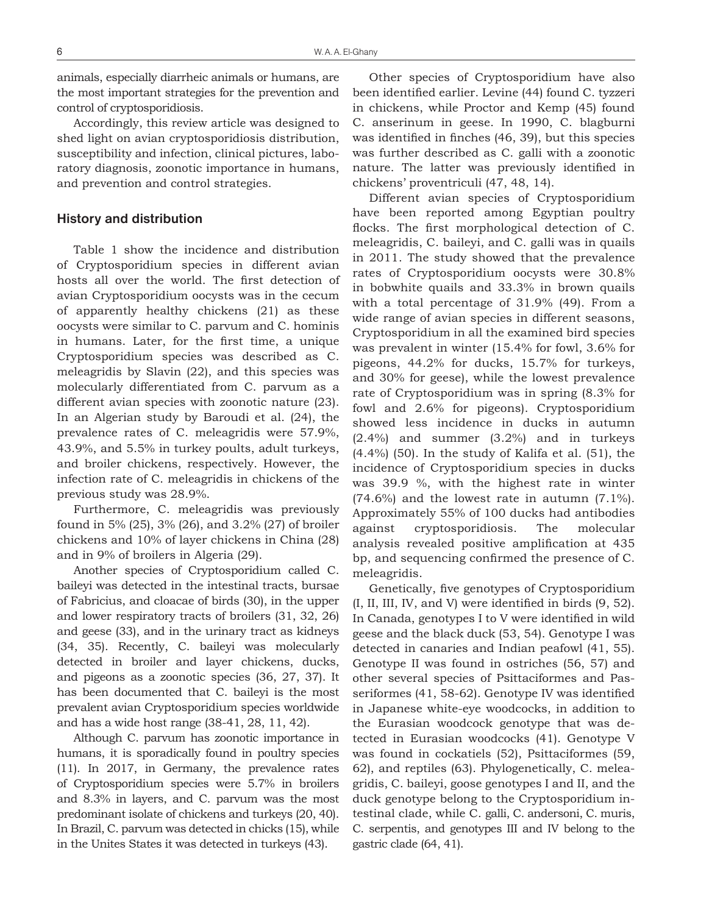animals, especially diarrheic animals or humans, are the most important strategies for the prevention and control of cryptosporidiosis.

Accordingly, this review article was designed to shed light on avian cryptosporidiosis distribution, susceptibility and infection, clinical pictures, laboratory diagnosis, zoonotic importance in humans, and prevention and control strategies.

#### **History and distribution**

Table 1 show the incidence and distribution of Cryptosporidium species in different avian hosts all over the world. The first detection of avian Cryptosporidium oocysts was in the cecum of apparently healthy chickens (21) as these oocysts were similar to C. parvum and C. hominis in humans. Later, for the first time, a unique Cryptosporidium species was described as C. meleagridis by Slavin (22), and this species was molecularly differentiated from C. parvum as a different avian species with zoonotic nature (23). In an Algerian study by Baroudi et al. (24), the prevalence rates of C. meleagridis were 57.9%, 43.9%, and 5.5% in turkey poults, adult turkeys, and broiler chickens, respectively. However, the infection rate of C. meleagridis in chickens of the previous study was 28.9%.

Furthermore, C. meleagridis was previously found in 5% (25), 3% (26), and 3.2% (27) of broiler chickens and 10% of layer chickens in China (28) and in 9% of broilers in Algeria (29).

Another species of Cryptosporidium called C. baileyi was detected in the intestinal tracts, bursae of Fabricius, and cloacae of birds (30), in the upper and lower respiratory tracts of broilers (31, 32, 26) and geese (33), and in the urinary tract as kidneys (34, 35). Recently, C. baileyi was molecularly detected in broiler and layer chickens, ducks, and pigeons as a zoonotic species (36, 27, 37). It has been documented that C. baileyi is the most prevalent avian Cryptosporidium species worldwide and has a wide host range (38-41, 28, 11, 42).

Although C. parvum has zoonotic importance in humans, it is sporadically found in poultry species (11). In 2017, in Germany, the prevalence rates of Cryptosporidium species were 5.7% in broilers and 8.3% in layers, and C. parvum was the most predominant isolate of chickens and turkeys (20, 40). In Brazil, C. parvum was detected in chicks (15), while in the Unites States it was detected in turkeys (43).

Other species of Cryptosporidium have also been identified earlier. Levine (44) found C. tyzzeri in chickens, while Proctor and Kemp (45) found C. anserinum in geese. In 1990, C. blagburni was identified in finches (46, 39), but this species was further described as C. galli with a zoonotic nature. The latter was previously identified in chickens' proventriculi (47, 48, 14).

Different avian species of Cryptosporidium have been reported among Egyptian poultry flocks. The first morphological detection of C. meleagridis, C. baileyi, and C. galli was in quails in 2011. The study showed that the prevalence rates of Cryptosporidium oocysts were 30.8% in bobwhite quails and 33.3% in brown quails with a total percentage of 31.9% (49). From a wide range of avian species in different seasons, Cryptosporidium in all the examined bird species was prevalent in winter (15.4% for fowl, 3.6% for pigeons, 44.2% for ducks, 15.7% for turkeys, and 30% for geese), while the lowest prevalence rate of Cryptosporidium was in spring (8.3% for fowl and 2.6% for pigeons). Cryptosporidium showed less incidence in ducks in autumn (2.4%) and summer (3.2%) and in turkeys (4.4%) (50). In the study of Kalifa et al. (51), the incidence of Cryptosporidium species in ducks was 39.9 %, with the highest rate in winter (74.6%) and the lowest rate in autumn (7.1%). Approximately 55% of 100 ducks had antibodies against cryptosporidiosis. The molecular analysis revealed positive amplification at 435 bp, and sequencing confirmed the presence of C. meleagridis.

Genetically, five genotypes of Cryptosporidium (I, II, III, IV, and V) were identified in birds (9, 52). In Canada, genotypes I to V were identified in wild geese and the black duck (53, 54). Genotype I was detected in canaries and Indian peafowl (41, 55). Genotype II was found in ostriches (56, 57) and other several species of Psittaciformes and Passeriformes (41, 58-62). Genotype IV was identified in Japanese white-eye woodcocks, in addition to the Eurasian woodcock genotype that was detected in Eurasian woodcocks (41). Genotype V was found in cockatiels (52), Psittaciformes (59, 62), and reptiles (63). Phylogenetically, C. meleagridis, C. baileyi, goose genotypes I and II, and the duck genotype belong to the Cryptosporidium intestinal clade, while C. galli, C. andersoni, C. muris, C. serpentis, and genotypes III and IV belong to the gastric clade (64, 41).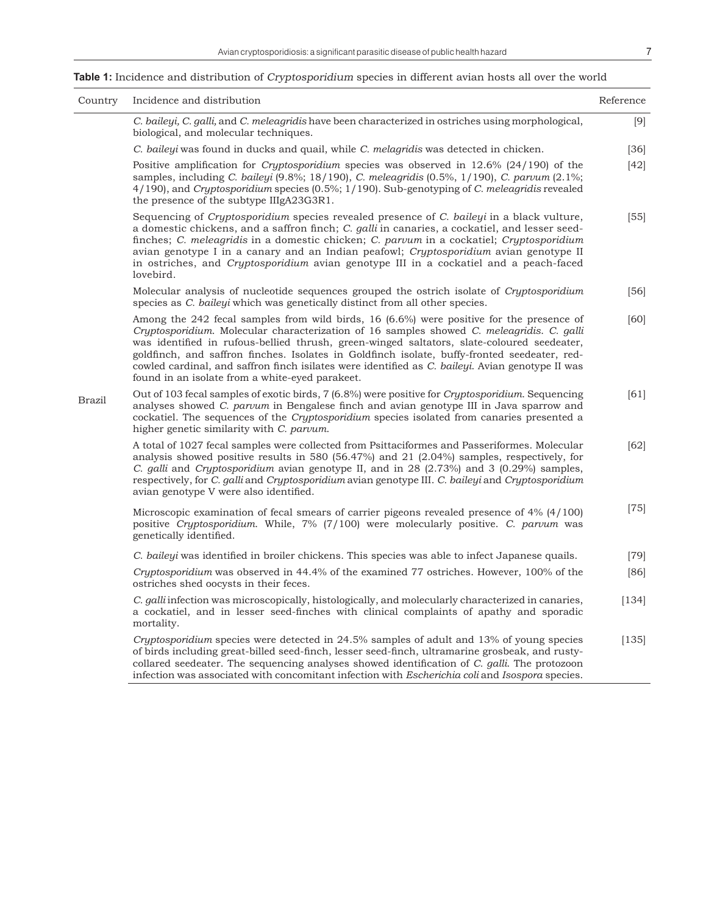# **Table 1:** Incidence and distribution of Cryptosporidium species in different avian hosts all over the world

| Country       | Incidence and distribution                                                                                                                                                                                                                                                                                                                                                                                                                                                                                                                 | Reference |
|---------------|--------------------------------------------------------------------------------------------------------------------------------------------------------------------------------------------------------------------------------------------------------------------------------------------------------------------------------------------------------------------------------------------------------------------------------------------------------------------------------------------------------------------------------------------|-----------|
|               | C. baileyi, C. galli, and C. meleagridis have been characterized in ostriches using morphological,<br>biological, and molecular techniques.                                                                                                                                                                                                                                                                                                                                                                                                | [9]       |
|               | C. baileyi was found in ducks and quail, while C. melagridis was detected in chicken.                                                                                                                                                                                                                                                                                                                                                                                                                                                      | [36]      |
|               | Positive amplification for <i>Cryptosporidium</i> species was observed in $12.6\%$ (24/190) of the<br>samples, including C. baileyi (9.8%; 18/190), C. meleagridis (0.5%, 1/190), C. parvum (2.1%;<br>4/190), and Cryptosporidium species (0.5%; 1/190). Sub-genotyping of C. meleagridis revealed<br>the presence of the subtype IIIgA23G3R1.                                                                                                                                                                                             | [42]      |
|               | Sequencing of <i>Cryptosporidium</i> species revealed presence of <i>C. baileyi</i> in a black vulture,<br>a domestic chickens, and a saffron finch; C. galli in canaries, a cockatiel, and lesser seed-<br>finches; C. meleagridis in a domestic chicken; C. parvum in a cockatiel; Cryptosporidium<br>avian genotype I in a canary and an Indian peafowl; Cryptosporidium avian genotype II<br>in ostriches, and <i>Cryptosporidium</i> avian genotype III in a cockatiel and a peach-faced<br>lovebird.                                 | [55]      |
|               | Molecular analysis of nucleotide sequences grouped the ostrich isolate of Cryptosporidium<br>species as <i>C. baileyi</i> which was genetically distinct from all other species.                                                                                                                                                                                                                                                                                                                                                           | [56]      |
|               | Among the 242 fecal samples from wild birds, 16 (6.6%) were positive for the presence of<br>Cryptosporidium. Molecular characterization of 16 samples showed C. meleagridis. C. galli<br>was identified in rufous-bellied thrush, green-winged saltators, slate-coloured seedeater,<br>goldfinch, and saffron finches. Isolates in Goldfinch isolate, buffy-fronted seedeater, red-<br>cowled cardinal, and saffron finch isilates were identified as C. baileyi. Avian genotype II was<br>found in an isolate from a white-eyed parakeet. | [60]      |
| <b>Brazil</b> | Out of 103 fecal samples of exotic birds, 7 (6.8%) were positive for Cryptosporidium. Sequencing<br>analyses showed C. parvum in Bengalese finch and avian genotype III in Java sparrow and<br>cockatiel. The sequences of the <i>Cryptosporidium</i> species isolated from canaries presented a<br>higher genetic similarity with C. parvum.                                                                                                                                                                                              | [61]      |
|               | A total of 1027 fecal samples were collected from Psittaciformes and Passeriformes. Molecular<br>analysis showed positive results in 580 (56.47%) and 21 (2.04%) samples, respectively, for<br>C. galli and Cryptosporidium avian genotype II, and in 28 (2.73%) and 3 (0.29%) samples,<br>respectively, for C. galli and Cryptosporidium avian genotype III. C. baileyi and Cryptosporidium<br>avian genotype V were also identified.                                                                                                     | [62]      |
|               | Microscopic examination of fecal smears of carrier pigeons revealed presence of 4% (4/100)<br>positive Cryptosporidium. While, 7% (7/100) were molecularly positive. C. parvum was<br>genetically identified.                                                                                                                                                                                                                                                                                                                              | $[75]$    |
|               | C. baileyi was identified in broiler chickens. This species was able to infect Japanese quails.                                                                                                                                                                                                                                                                                                                                                                                                                                            | $[79]$    |
|               | Cryptosporidium was observed in 44.4% of the examined 77 ostriches. However, 100% of the<br>ostriches shed oocysts in their feces.                                                                                                                                                                                                                                                                                                                                                                                                         | [86]      |
|               | C. galli infection was microscopically, histologically, and molecularly characterized in canaries,<br>a cockatiel, and in lesser seed-finches with clinical complaints of apathy and sporadic<br>mortality.                                                                                                                                                                                                                                                                                                                                | [134]     |
|               | Cryptosporidium species were detected in 24.5% samples of adult and 13% of young species<br>of birds including great-billed seed-finch, lesser seed-finch, ultramarine grosbeak, and rusty-<br>collared seedeater. The sequencing analyses showed identification of C. galli. The protozoon<br>infection was associated with concomitant infection with <i>Escherichia coli</i> and <i>Isospora</i> species.                                                                                                                               | [135]     |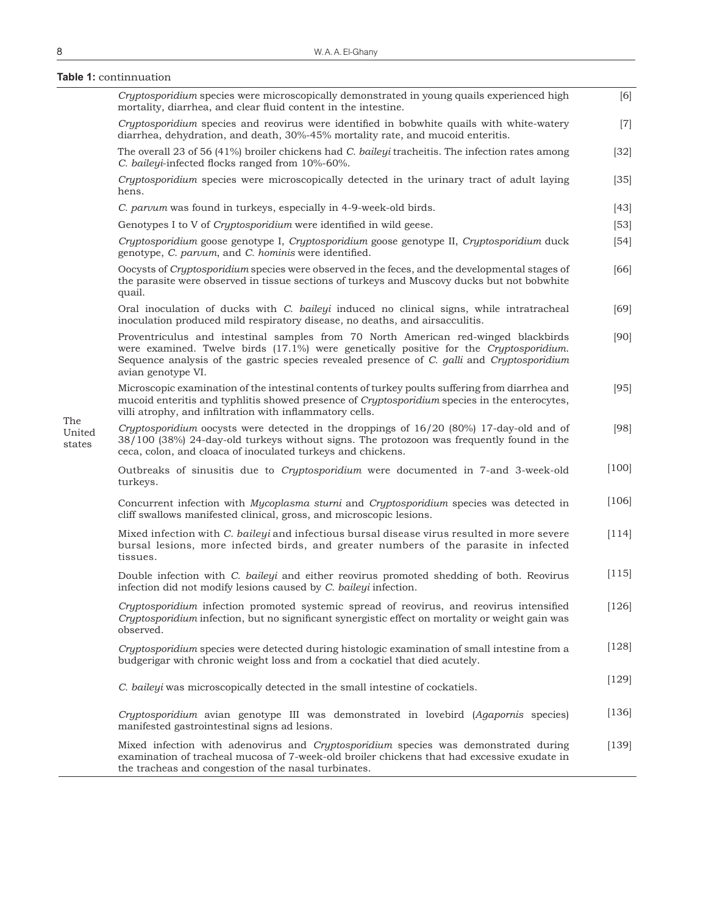**Table 1:** continnuation

|                         | Cryptosporidium species were microscopically demonstrated in young quails experienced high<br>mortality, diarrhea, and clear fluid content in the intestine.                                                                                                                                     | [6]     |
|-------------------------|--------------------------------------------------------------------------------------------------------------------------------------------------------------------------------------------------------------------------------------------------------------------------------------------------|---------|
|                         | Cryptosporidium species and reovirus were identified in bobwhite quails with white-watery<br>diarrhea, dehydration, and death, 30%-45% mortality rate, and mucoid enteritis.                                                                                                                     | $[7]$   |
|                         | The overall 23 of 56 (41%) broiler chickens had <i>C. baileyi</i> tracheitis. The infection rates among<br>C. baileyi-infected flocks ranged from 10%-60%.                                                                                                                                       | $[32]$  |
|                         | Cryptosporidium species were microscopically detected in the urinary tract of adult laying<br>hens.                                                                                                                                                                                              | $[35]$  |
|                         | C. parvum was found in turkeys, especially in 4-9-week-old birds.                                                                                                                                                                                                                                | $[43]$  |
|                         | Genotypes I to V of Cryptosporidium were identified in wild geese.                                                                                                                                                                                                                               | $[53]$  |
|                         | Cryptosporidium goose genotype I, Cryptosporidium goose genotype II, Cryptosporidium duck<br>genotype, C. parvum, and C. hominis were identified.                                                                                                                                                | $[54]$  |
|                         | Oocysts of Cryptosporidium species were observed in the feces, and the developmental stages of<br>the parasite were observed in tissue sections of turkeys and Muscovy ducks but not bobwhite<br>quail.                                                                                          | [66]    |
|                         | Oral inoculation of ducks with <i>C. baileyi</i> induced no clinical signs, while intratracheal<br>inoculation produced mild respiratory disease, no deaths, and airsacculitis.                                                                                                                  | [69]    |
|                         | Proventriculus and intestinal samples from 70 North American red-winged blackbirds<br>were examined. Twelve birds (17.1%) were genetically positive for the Cryptosporidium.<br>Sequence analysis of the gastric species revealed presence of C. galli and Cryptosporidium<br>avian genotype VI. | [90]    |
|                         | Microscopic examination of the intestinal contents of turkey poults suffering from diarrhea and<br>mucoid enteritis and typhlitis showed presence of <i>Cryptosporidium</i> species in the enterocytes,<br>villi atrophy, and infiltration with inflammatory cells.                              | [95]    |
| The<br>United<br>states | Cryptosporidium oocysts were detected in the droppings of 16/20 (80%) 17-day-old and of<br>38/100 (38%) 24-day-old turkeys without signs. The protozoon was frequently found in the<br>ceca, colon, and cloaca of inoculated turkeys and chickens.                                               | [98]    |
|                         | Outbreaks of sinusitis due to Cryptosporidium were documented in 7-and 3-week-old<br>turkeys.                                                                                                                                                                                                    | $[100]$ |
|                         | Concurrent infection with Mycoplasma sturni and Cryptosporidium species was detected in<br>cliff swallows manifested clinical, gross, and microscopic lesions.                                                                                                                                   | [106]   |
|                         | Mixed infection with C. baileyi and infectious bursal disease virus resulted in more severe<br>bursal lesions, more infected birds, and greater numbers of the parasite in infected<br>tissues.                                                                                                  | $[114]$ |
|                         | Double infection with <i>C. baileyi</i> and either reovirus promoted shedding of both. Reovirus<br>infection did not modify lesions caused by C. baileyi infection.                                                                                                                              | [115]   |
|                         | Cryptosporidium infection promoted systemic spread of reovirus, and reovirus intensified<br>Cryptosporidium infection, but no significant synergistic effect on mortality or weight gain was<br>observed.                                                                                        | $[126]$ |
|                         | Cryptosporidium species were detected during histologic examination of small intestine from a<br>budgerigar with chronic weight loss and from a cockatiel that died acutely.                                                                                                                     | $[128]$ |
|                         | C. baileyi was microscopically detected in the small intestine of cockatiels.                                                                                                                                                                                                                    | [129]   |
|                         | Cryptosporidium avian genotype III was demonstrated in lovebird (Agapornis species)<br>manifested gastrointestinal signs ad lesions.                                                                                                                                                             | [136]   |
|                         | Mixed infection with adenovirus and Cryptosporidium species was demonstrated during<br>examination of tracheal mucosa of 7-week-old broiler chickens that had excessive exudate in<br>the tracheas and congestion of the nasal turbinates.                                                       | [139]   |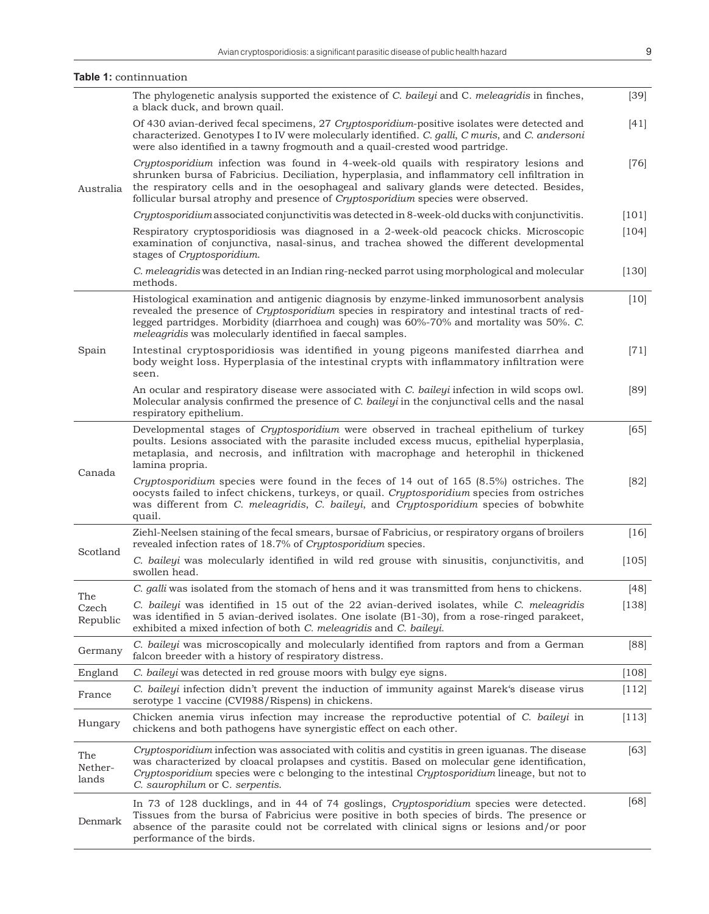|                          | Table 1: continnuation                                                                                                                                                                                                                                                                                                                                                |         |
|--------------------------|-----------------------------------------------------------------------------------------------------------------------------------------------------------------------------------------------------------------------------------------------------------------------------------------------------------------------------------------------------------------------|---------|
|                          | The phylogenetic analysis supported the existence of C. baileyi and C. meleagridis in finches,<br>a black duck, and brown quail.                                                                                                                                                                                                                                      | $[39]$  |
| Australia                | Of 430 avian-derived fecal specimens, 27 Cryptosporidium-positive isolates were detected and<br>characterized. Genotypes I to IV were molecularly identified. C. galli, C muris, and C. andersoni<br>were also identified in a tawny frogmouth and a quail-crested wood partridge.                                                                                    | $[41]$  |
|                          | Cryptosporidium infection was found in 4-week-old quails with respiratory lesions and<br>shrunken bursa of Fabricius. Deciliation, hyperplasia, and inflammatory cell infiltration in<br>the respiratory cells and in the oesophageal and salivary glands were detected. Besides,<br>follicular bursal atrophy and presence of Cryptosporidium species were observed. | $[76]$  |
|                          | Cryptosporidium associated conjunctivitis was detected in 8-week-old ducks with conjunctivitis.                                                                                                                                                                                                                                                                       | [101]   |
|                          | Respiratory cryptosporidiosis was diagnosed in a 2-week-old peacock chicks. Microscopic<br>examination of conjunctiva, nasal-sinus, and trachea showed the different developmental<br>stages of Cryptosporidium.                                                                                                                                                      | [104]   |
|                          | C. meleagridis was detected in an Indian ring-necked parrot using morphological and molecular<br>methods.                                                                                                                                                                                                                                                             | $[130]$ |
| Spain                    | Histological examination and antigenic diagnosis by enzyme-linked immunosorbent analysis<br>revealed the presence of Cryptosporidium species in respiratory and intestinal tracts of red-<br>legged partridges. Morbidity (diarrhoea and cough) was 60%-70% and mortality was 50%. C.<br>meleagridis was molecularly identified in faecal samples.                    | $[10]$  |
|                          | Intestinal cryptosporidiosis was identified in young pigeons manifested diarrhea and<br>body weight loss. Hyperplasia of the intestinal crypts with inflammatory infiltration were<br>seen.                                                                                                                                                                           | $[71]$  |
|                          | An ocular and respiratory disease were associated with C. baileyi infection in wild scops owl.<br>Molecular analysis confirmed the presence of C. baileyi in the conjunctival cells and the nasal<br>respiratory epithelium.                                                                                                                                          | [89]    |
| Canada                   | Developmental stages of Cryptosporidium were observed in tracheal epithelium of turkey<br>poults. Lesions associated with the parasite included excess mucus, epithelial hyperplasia,<br>metaplasia, and necrosis, and infiltration with macrophage and heterophil in thickened<br>lamina propria.                                                                    | $[65]$  |
|                          | Cryptosporidium species were found in the feces of 14 out of 165 (8.5%) ostriches. The<br>oocysts failed to infect chickens, turkeys, or quail. Cryptosporidium species from ostriches<br>was different from C. meleagridis, C. baileyi, and Cryptosporidium species of bobwhite<br>quail.                                                                            | [82]    |
| Scotland                 | Ziehl-Neelsen staining of the fecal smears, bursae of Fabricius, or respiratory organs of broilers<br>revealed infection rates of 18.7% of Cryptosporidium species.                                                                                                                                                                                                   | $[16]$  |
|                          | C. baileyi was molecularly identified in wild red grouse with sinusitis, conjunctivitis, and<br>swollen head.                                                                                                                                                                                                                                                         | [105]   |
|                          | C. galli was isolated from the stomach of hens and it was transmitted from hens to chickens.                                                                                                                                                                                                                                                                          | [48]    |
| The<br>Czech<br>Republic | C. baileyi was identified in 15 out of the 22 avian-derived isolates, while C. meleagridis<br>was identified in 5 avian-derived isolates. One isolate (B1-30), from a rose-ringed parakeet,<br>exhibited a mixed infection of both C. meleagridis and C. baileyi.                                                                                                     | [138]   |
| Germany                  | C. baileyi was microscopically and molecularly identified from raptors and from a German<br>falcon breeder with a history of respiratory distress.                                                                                                                                                                                                                    | [88]    |
| England                  | C. bailey was detected in red grouse moors with bulgy eye signs.                                                                                                                                                                                                                                                                                                      | [108]   |
| France                   | C. baileyi infection didn't prevent the induction of immunity against Marek's disease virus<br>serotype 1 vaccine (CVI988/Rispens) in chickens.                                                                                                                                                                                                                       | [112]   |
| Hungary                  | Chicken anemia virus infection may increase the reproductive potential of C. baileyi in<br>chickens and both pathogens have synergistic effect on each other.                                                                                                                                                                                                         | [113]   |
| The<br>Nether-<br>lands  | Cryptosporidium infection was associated with colitis and cystitis in green iguanas. The disease<br>was characterized by cloacal prolapses and cystitis. Based on molecular gene identification,<br>Cryptosporidium species were c belonging to the intestinal Cryptosporidium lineage, but not to<br>C. saurophilum or C. serpentis.                                 | $[63]$  |
| Denmark                  | In 73 of 128 ducklings, and in 44 of 74 goslings, Cryptosporidium species were detected.<br>Tissues from the bursa of Fabricius were positive in both species of birds. The presence or<br>absence of the parasite could not be correlated with clinical signs or lesions and/or poor                                                                                 | $[68]$  |

performance of the birds.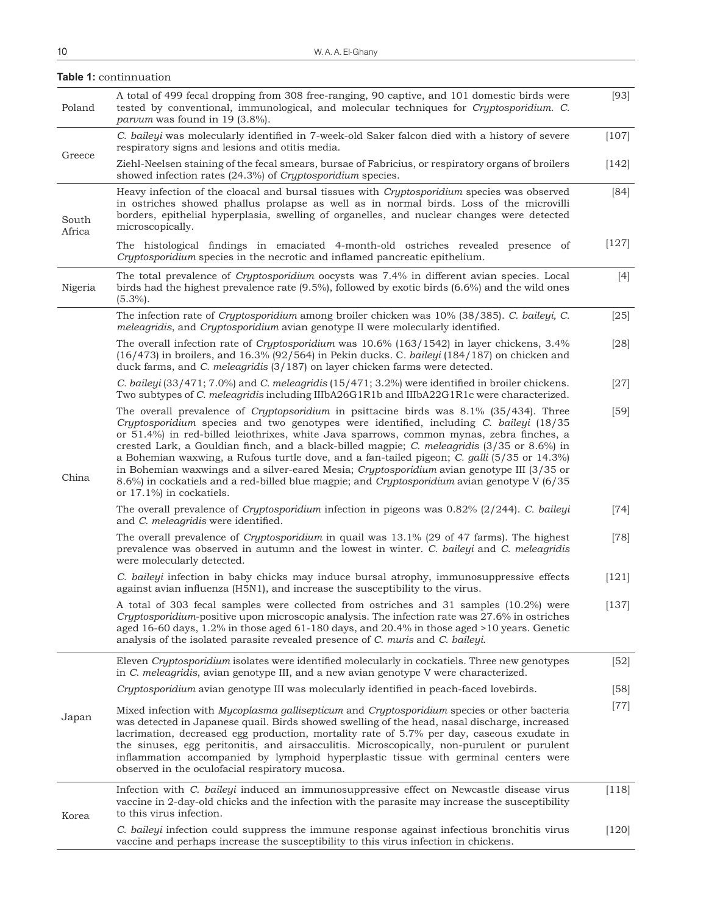| Poland          | A total of 499 fecal dropping from 308 free-ranging, 90 captive, and 101 domestic birds were<br>tested by conventional, immunological, and molecular techniques for <i>Cryptosporidium. C.</i><br><i>parvum</i> was found in 19 (3.8%).                                                                                                                                                                                                                                                                                                                                                                                                                                                                      | $[93]$  |
|-----------------|--------------------------------------------------------------------------------------------------------------------------------------------------------------------------------------------------------------------------------------------------------------------------------------------------------------------------------------------------------------------------------------------------------------------------------------------------------------------------------------------------------------------------------------------------------------------------------------------------------------------------------------------------------------------------------------------------------------|---------|
| Greece          | C. baileyi was molecularly identified in 7-week-old Saker falcon died with a history of severe<br>respiratory signs and lesions and otitis media.                                                                                                                                                                                                                                                                                                                                                                                                                                                                                                                                                            | $[107]$ |
|                 | Ziehl-Neelsen staining of the fecal smears, bursae of Fabricius, or respiratory organs of broilers<br>showed infection rates (24.3%) of Cryptosporidium species.                                                                                                                                                                                                                                                                                                                                                                                                                                                                                                                                             | [142]   |
| South<br>Africa | Heavy infection of the cloacal and bursal tissues with Cryptosporidium species was observed<br>in ostriches showed phallus prolapse as well as in normal birds. Loss of the microvilli<br>borders, epithelial hyperplasia, swelling of organelles, and nuclear changes were detected<br>microscopically.                                                                                                                                                                                                                                                                                                                                                                                                     | $[84]$  |
|                 | The histological findings in emaciated 4-month-old ostriches revealed presence of<br>Cryptosporidium species in the necrotic and inflamed pancreatic epithelium.                                                                                                                                                                                                                                                                                                                                                                                                                                                                                                                                             | $[127]$ |
| Nigeria         | The total prevalence of Cryptosporidium oocysts was 7.4% in different avian species. Local<br>birds had the highest prevalence rate $(9.5\%)$ , followed by exotic birds $(6.6\%)$ and the wild ones<br>$(5.3\%)$ .                                                                                                                                                                                                                                                                                                                                                                                                                                                                                          | $[4]$   |
|                 | The infection rate of Cryptosporidium among broiler chicken was 10% (38/385). C. baileyi, C.<br>meleagridis, and Cryptosporidium avian genotype II were molecularly identified.                                                                                                                                                                                                                                                                                                                                                                                                                                                                                                                              | $[25]$  |
|                 | The overall infection rate of Cryptosporidium was $10.6\%$ (163/1542) in layer chickens, 3.4%<br>$(16/473)$ in broilers, and 16.3% (92/564) in Pekin ducks. C. baileyi (184/187) on chicken and<br>duck farms, and C. meleagridis (3/187) on layer chicken farms were detected.                                                                                                                                                                                                                                                                                                                                                                                                                              | $[28]$  |
|                 | C. baileyi (33/471; 7.0%) and C. meleagridis (15/471; 3.2%) were identified in broiler chickens.<br>Two subtypes of C. meleagridis including IIIbA26G1R1b and IIIbA22G1R1c were characterized.                                                                                                                                                                                                                                                                                                                                                                                                                                                                                                               | $[27]$  |
| China           | The overall prevalence of <i>Cryptopsoridium</i> in psittacine birds was 8.1% (35/434). Three<br>Cryptosporidium species and two genotypes were identified, including C. baileyi (18/35)<br>or 51.4%) in red-billed leiothrixes, white Java sparrows, common mynas, zebra finches, a<br>crested Lark, a Gouldian finch, and a black-billed magpie; C. meleagridis (3/35 or 8.6%) in<br>a Bohemian waxwing, a Rufous turtle dove, and a fan-tailed pigeon; C. galli (5/35 or 14.3%)<br>in Bohemian waxwings and a silver-eared Mesia; Cryptosporidium avian genotype III (3/35 or<br>8.6%) in cockatiels and a red-billed blue magpie; and Cryptosporidium avian genotype V (6/35<br>or 17.1%) in cockatiels. | $[59]$  |
|                 | The overall prevalence of <i>Cryptosporidium</i> infection in pigeons was $0.82\%$ (2/244). C. baileyi<br>and C. meleagridis were identified.                                                                                                                                                                                                                                                                                                                                                                                                                                                                                                                                                                | $[74]$  |
|                 | The overall prevalence of <i>Cryptosporidium</i> in quail was 13.1% (29 of 47 farms). The highest<br>prevalence was observed in autumn and the lowest in winter. C. baileyi and C. meleagridis<br>were molecularly detected.                                                                                                                                                                                                                                                                                                                                                                                                                                                                                 | $[78]$  |
|                 | C. baileyi infection in baby chicks may induce bursal atrophy, immunosuppressive effects<br>against avian influenza (H5N1), and increase the susceptibility to the virus.                                                                                                                                                                                                                                                                                                                                                                                                                                                                                                                                    | [121]   |
|                 | A total of 303 fecal samples were collected from ostriches and 31 samples (10.2%) were<br>Cryptosporidium-positive upon microscopic analysis. The infection rate was 27.6% in ostriches<br>aged 16-60 days, 1.2% in those aged 61-180 days, and 20.4% in those aged >10 years. Genetic<br>analysis of the isolated parasite revealed presence of C. muris and C. baileyi.                                                                                                                                                                                                                                                                                                                                    | [137]   |
| Japan           | Eleven Cryptosporidium isolates were identified molecularly in cockatiels. Three new genotypes<br>in C. meleagridis, avian genotype III, and a new avian genotype V were characterized.                                                                                                                                                                                                                                                                                                                                                                                                                                                                                                                      | $[52]$  |
|                 | Cryptosporidium avian genotype III was molecularly identified in peach-faced lovebirds.                                                                                                                                                                                                                                                                                                                                                                                                                                                                                                                                                                                                                      | $[58]$  |
|                 | Mixed infection with Mycoplasma gallisepticum and Cryptosporidium species or other bacteria<br>was detected in Japanese quail. Birds showed swelling of the head, nasal discharge, increased<br>lacrimation, decreased egg production, mortality rate of 5.7% per day, caseous exudate in<br>the sinuses, egg peritonitis, and airsacculitis. Microscopically, non-purulent or purulent<br>inflammation accompanied by lymphoid hyperplastic tissue with germinal centers were<br>observed in the oculofacial respiratory mucosa.                                                                                                                                                                            | $[77]$  |
| Korea           | Infection with C. baileyi induced an immunosuppressive effect on Newcastle disease virus<br>vaccine in 2-day-old chicks and the infection with the parasite may increase the susceptibility<br>to this virus infection.                                                                                                                                                                                                                                                                                                                                                                                                                                                                                      | $[118]$ |
|                 | C. baileyi infection could suppress the immune response against infectious bronchitis virus<br>vaccine and perhaps increase the susceptibility to this virus infection in chickens.                                                                                                                                                                                                                                                                                                                                                                                                                                                                                                                          | $[120]$ |

### **Table 1:** continnuation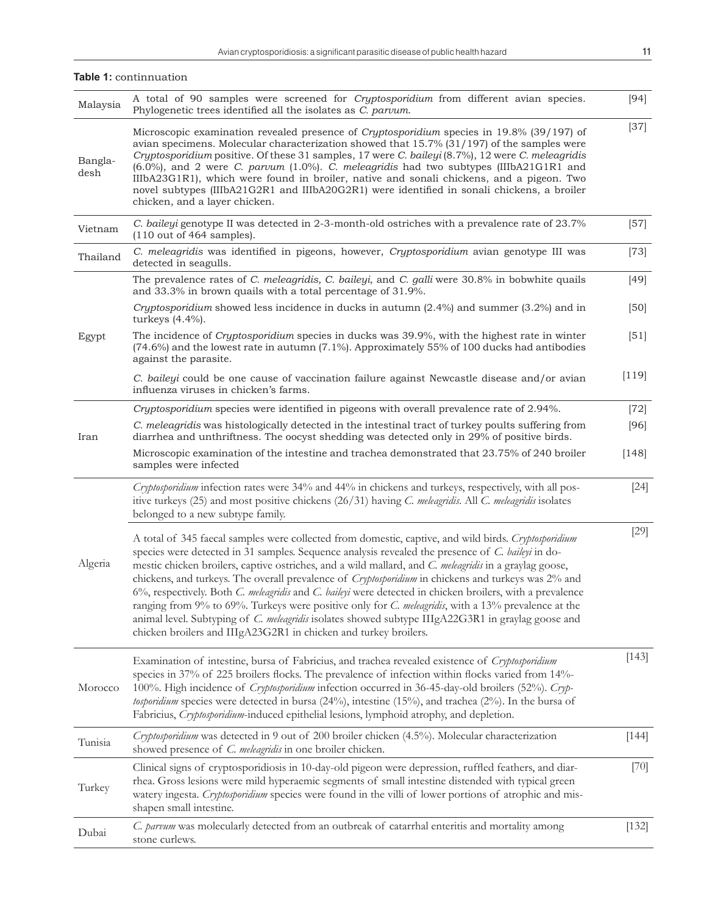**Table 1:** continnuation

| Malaysia        | A total of 90 samples were screened for Cryptosporidium from different avian species.<br>Phylogenetic trees identified all the isolates as C. parvum.                                                                                                                                                                                                                                                                                                                                                                                                                                                                                                                                                                                                                                                                           | $[94]$  |
|-----------------|---------------------------------------------------------------------------------------------------------------------------------------------------------------------------------------------------------------------------------------------------------------------------------------------------------------------------------------------------------------------------------------------------------------------------------------------------------------------------------------------------------------------------------------------------------------------------------------------------------------------------------------------------------------------------------------------------------------------------------------------------------------------------------------------------------------------------------|---------|
| Bangla-<br>desh | Microscopic examination revealed presence of Cryptosporidium species in 19.8% (39/197) of<br>avian specimens. Molecular characterization showed that $15.7\%$ (31/197) of the samples were<br>Cryptosporidium positive. Of these 31 samples, 17 were C. baileyi (8.7%), 12 were C. meleagridis<br>$(6.0\%)$ , and 2 were C. parvum $(1.0\%)$ . C. meleagridis had two subtypes (IIIbA21G1R1 and<br>IIIbA23G1R1), which were found in broiler, native and sonali chickens, and a pigeon. Two<br>novel subtypes (IIIbA21G2R1 and IIIbA20G2R1) were identified in sonali chickens, a broiler<br>chicken, and a layer chicken.                                                                                                                                                                                                      | $[37]$  |
| Vietnam         | C. baileyi genotype II was detected in 2-3-month-old ostriches with a prevalence rate of 23.7%<br>$(110 \text{ out of } 464 \text{ samples}).$                                                                                                                                                                                                                                                                                                                                                                                                                                                                                                                                                                                                                                                                                  | $[57]$  |
| Thailand        | C. meleagridis was identified in pigeons, however, Cryptosporidium avian genotype III was<br>detected in seagulls.                                                                                                                                                                                                                                                                                                                                                                                                                                                                                                                                                                                                                                                                                                              | $[73]$  |
|                 | The prevalence rates of C. meleagridis, C. baileyi, and C. galli were 30.8% in bobwhite quails<br>and 33.3% in brown quails with a total percentage of 31.9%.                                                                                                                                                                                                                                                                                                                                                                                                                                                                                                                                                                                                                                                                   | $[49]$  |
|                 | Cryptosporidium showed less incidence in ducks in autumn $(2.4%)$ and summer $(3.2%)$ and in<br>turkeys $(4.4\%)$ .                                                                                                                                                                                                                                                                                                                                                                                                                                                                                                                                                                                                                                                                                                             | $[50]$  |
| Egypt           | The incidence of <i>Cryptosporidium</i> species in ducks was 39.9%, with the highest rate in winter<br>(74.6%) and the lowest rate in autumn (7.1%). Approximately 55% of 100 ducks had antibodies<br>against the parasite.                                                                                                                                                                                                                                                                                                                                                                                                                                                                                                                                                                                                     | $[51]$  |
|                 | C. baileyi could be one cause of vaccination failure against Newcastle disease and/or avian<br>influenza viruses in chicken's farms.                                                                                                                                                                                                                                                                                                                                                                                                                                                                                                                                                                                                                                                                                            | [119]   |
|                 | Cryptosporidium species were identified in pigeons with overall prevalence rate of 2.94%.                                                                                                                                                                                                                                                                                                                                                                                                                                                                                                                                                                                                                                                                                                                                       | $[72]$  |
| Iran            | C. meleagridis was histologically detected in the intestinal tract of turkey poults suffering from<br>diarrhea and unthriftness. The oocyst shedding was detected only in 29% of positive birds.                                                                                                                                                                                                                                                                                                                                                                                                                                                                                                                                                                                                                                | $[96]$  |
|                 | Microscopic examination of the intestine and trachea demonstrated that 23.75% of 240 broiler<br>samples were infected                                                                                                                                                                                                                                                                                                                                                                                                                                                                                                                                                                                                                                                                                                           | [148]   |
| Algeria         | Cryptosporidium infection rates were 34% and 44% in chickens and turkeys, respectively, with all pos-<br>itive turkeys (25) and most positive chickens (26/31) having C. meleagridis. All C. meleagridis isolates<br>belonged to a new subtype family.                                                                                                                                                                                                                                                                                                                                                                                                                                                                                                                                                                          | $[24]$  |
|                 | A total of 345 faecal samples were collected from domestic, captive, and wild birds. Cryptosporidium<br>species were detected in 31 samples. Sequence analysis revealed the presence of C. baileyi in do-<br>mestic chicken broilers, captive ostriches, and a wild mallard, and C. meleagridis in a graylag goose,<br>chickens, and turkeys. The overall prevalence of <i>Cryptosporidium</i> in chickens and turkeys was 2% and<br>6%, respectively. Both C. meleagridis and C. baileyi were detected in chicken broilers, with a prevalence<br>ranging from 9% to 69%. Turkeys were positive only for C. meleagridis, with a 13% prevalence at the<br>animal level. Subtyping of C. meleagridis isolates showed subtype IIIgA22G3R1 in graylag goose and<br>chicken broilers and IIIgA23G2R1 in chicken and turkey broilers. | $[29]$  |
| Morocco         | Examination of intestine, bursa of Fabricius, and trachea revealed existence of Cryptosporidium<br>species in 37% of 225 broilers flocks. The prevalence of infection within flocks varied from 14%-<br>100%. High incidence of <i>Cryptosporidium</i> infection occurred in 36-45-day-old broilers (52%). Cryp-<br>tosporidium species were detected in bursa $(24%)$ , intestine $(15%)$ , and trachea $(2%)$ . In the bursa of<br>Fabricius, Cryptosporidium-induced epithelial lesions, lymphoid atrophy, and depletion.                                                                                                                                                                                                                                                                                                    | [143]   |
| Tunisia         | Cryptosporidium was detected in 9 out of 200 broiler chicken (4.5%). Molecular characterization<br>showed presence of <i>C. meleagridis</i> in one broiler chicken.                                                                                                                                                                                                                                                                                                                                                                                                                                                                                                                                                                                                                                                             | $[144]$ |
| Turkey          | Clinical signs of cryptosporidiosis in 10-day-old pigeon were depression, ruffled feathers, and diar-<br>rhea. Gross lesions were mild hyperaemic segments of small intestine distended with typical green<br>watery ingesta. Cryptosporidium species were found in the villi of lower portions of atrophic and mis-<br>shapen small intestine.                                                                                                                                                                                                                                                                                                                                                                                                                                                                                 | $[70]$  |
| Dubai           | C. parvum was molecularly detected from an outbreak of catarrhal enteritis and mortality among<br>stone curlews.                                                                                                                                                                                                                                                                                                                                                                                                                                                                                                                                                                                                                                                                                                                | $[132]$ |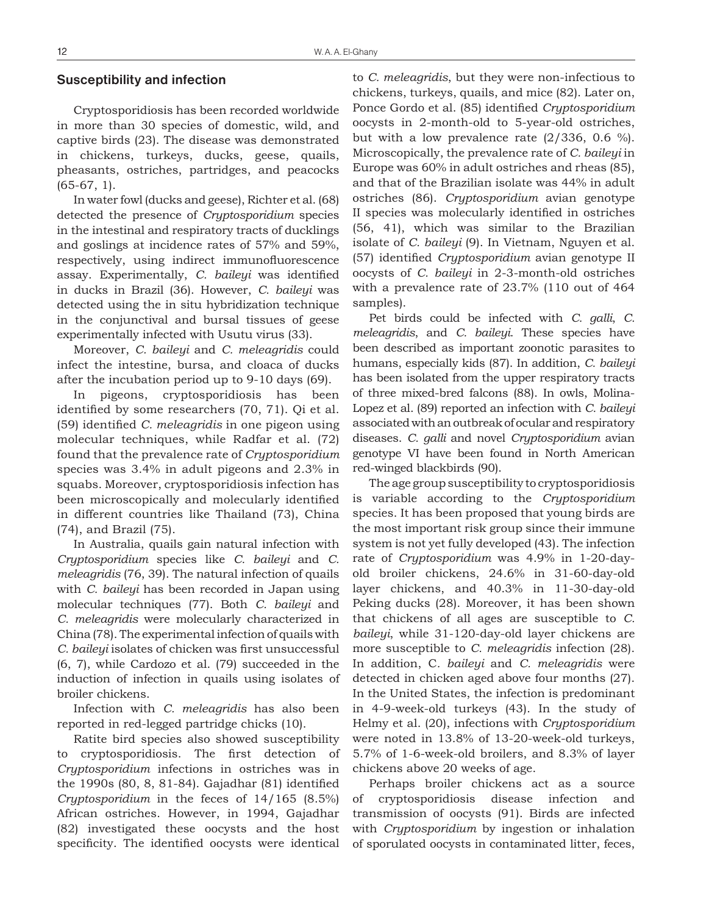#### **Susceptibility and infection**

Cryptosporidiosis has been recorded worldwide in more than 30 species of domestic, wild, and captive birds (23). The disease was demonstrated in chickens, turkeys, ducks, geese, quails, pheasants, ostriches, partridges, and peacocks (65-67, 1).

In water fowl (ducks and geese), Richter et al. (68) detected the presence of *Cryptosporidium* species in the intestinal and respiratory tracts of ducklings and goslings at incidence rates of 57% and 59%, respectively, using indirect immunofluorescence assay. Experimentally, *C. baileyi* was identified in ducks in Brazil (36). However, *C. baileyi* was detected using the in situ hybridization technique in the conjunctival and bursal tissues of geese experimentally infected with Usutu virus (33).

Moreover, *C. baileyi* and *C. meleagridis* could infect the intestine, bursa, and cloaca of ducks after the incubation period up to 9-10 days (69).

In pigeons, cryptosporidiosis has been identified by some researchers (70, 71). Qi et al. (59) identified *C. meleagridis* in one pigeon using molecular techniques, while Radfar et al. (72) found that the prevalence rate of *Cryptosporidium* species was 3.4% in adult pigeons and 2.3% in squabs. Moreover, cryptosporidiosis infection has been microscopically and molecularly identified in different countries like Thailand (73), China (74), and Brazil (75).

In Australia, quails gain natural infection with *Cryptosporidium* species like *C. baileyi* and *C. meleagridis* (76, 39). The natural infection of quails with *C. baileyi* has been recorded in Japan using molecular techniques (77). Both *C. baileyi* and *C. meleagridis* were molecularly characterized in China (78). The experimental infection of quails with *C. baileyi* isolates of chicken was first unsuccessful (6, 7), while Cardozo et al. (79) succeeded in the induction of infection in quails using isolates of broiler chickens.

Infection with *C. meleagridis* has also been reported in red-legged partridge chicks (10).

Ratite bird species also showed susceptibility to cryptosporidiosis. The first detection of *Cryptosporidium* infections in ostriches was in the 1990s (80, 8, 81-84). Gajadhar (81) identified *Cryptosporidium* in the feces of 14/165 (8.5%) African ostriches. However, in 1994, Gajadhar (82) investigated these oocysts and the host specificity. The identified oocysts were identical to *C. meleagridis*, but they were non-infectious to chickens, turkeys, quails, and mice (82). Later on, Ponce Gordo et al. (85) identified *Cryptosporidium* oocysts in 2-month-old to 5-year-old ostriches, but with a low prevalence rate  $(2/336, 0.6 %)$ . Microscopically, the prevalence rate of *C. baileyi* in Europe was 60% in adult ostriches and rheas (85), and that of the Brazilian isolate was 44% in adult ostriches (86). *Cryptosporidium* avian genotype II species was molecularly identified in ostriches (56, 41), which was similar to the Brazilian isolate of *C. baileyi* (9). In Vietnam, Nguyen et al. (57) identified *Cryptosporidium* avian genotype II oocysts of *C. baileyi* in 2-3-month-old ostriches with a prevalence rate of 23.7% (110 out of 464 samples).

Pet birds could be infected with *C. galli*, *C. meleagridis*, and *C. baileyi*. These species have been described as important zoonotic parasites to humans, especially kids (87). In addition, *C. baileyi* has been isolated from the upper respiratory tracts of three mixed-bred falcons (88). In owls, Molina-Lopez et al. (89) reported an infection with *C. baileyi* associated with an outbreak of ocular and respiratory diseases. *C. galli* and novel *Cryptosporidium* avian genotype VI have been found in North American red-winged blackbirds (90).

The age group susceptibility to cryptosporidiosis is variable according to the *Cryptosporidium* species. It has been proposed that young birds are the most important risk group since their immune system is not yet fully developed (43). The infection rate of *Cryptosporidium* was 4.9% in 1-20-dayold broiler chickens, 24.6% in 31-60-day-old layer chickens, and 40.3% in 11-30-day-old Peking ducks (28). Moreover, it has been shown that chickens of all ages are susceptible to *C. baileyi*, while 31-120-day-old layer chickens are more susceptible to *C. meleagridis* infection (28). In addition, C*. baileyi* and *C. meleagridis* were detected in chicken aged above four months (27). In the United States, the infection is predominant in 4-9-week-old turkeys (43). In the study of Helmy et al. (20), infections with *Cryptosporidium* were noted in 13.8% of 13-20-week-old turkeys, 5.7% of 1-6-week-old broilers, and 8.3% of layer chickens above 20 weeks of age.

Perhaps broiler chickens act as a source of cryptosporidiosis disease infection and transmission of oocysts (91). Birds are infected with *Cryptosporidium* by ingestion or inhalation of sporulated oocysts in contaminated litter, feces,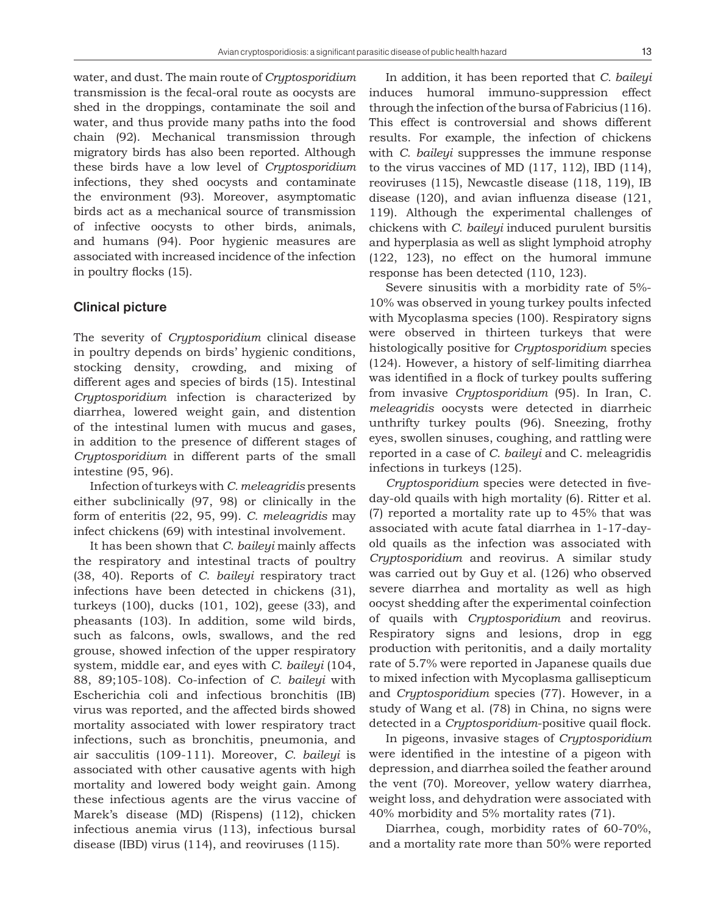water, and dust. The main route of *Cryptosporidium* transmission is the fecal-oral route as oocysts are shed in the droppings, contaminate the soil and water, and thus provide many paths into the food chain (92). Mechanical transmission through migratory birds has also been reported. Although these birds have a low level of *Cryptosporidium* infections, they shed oocysts and contaminate the environment (93). Moreover, asymptomatic birds act as a mechanical source of transmission of infective oocysts to other birds, animals, and humans (94). Poor hygienic measures are associated with increased incidence of the infection in poultry flocks (15).

#### **Clinical picture**

The severity of *Cryptosporidium* clinical disease in poultry depends on birds' hygienic conditions, stocking density, crowding, and mixing of different ages and species of birds (15). Intestinal *Cryptosporidium* infection is characterized by diarrhea, lowered weight gain, and distention of the intestinal lumen with mucus and gases, in addition to the presence of different stages of *Cryptosporidium* in different parts of the small intestine (95, 96).

Infection of turkeys with *C. meleagridis* presents either subclinically (97, 98) or clinically in the form of enteritis (22, 95, 99). *C. meleagridis* may infect chickens (69) with intestinal involvement.

It has been shown that *C. baileyi* mainly affects the respiratory and intestinal tracts of poultry (38, 40). Reports of *C. baileyi* respiratory tract infections have been detected in chickens (31), turkeys (100), ducks (101, 102), geese (33), and pheasants (103). In addition, some wild birds, such as falcons, owls, swallows, and the red grouse, showed infection of the upper respiratory system, middle ear, and eyes with *C. baileyi* (104, 88, 89;105-108). Co-infection of *C. baileyi* with Escherichia coli and infectious bronchitis (IB) virus was reported, and the affected birds showed mortality associated with lower respiratory tract infections, such as bronchitis, pneumonia, and air sacculitis (109-111). Moreover, *C. baileyi* is associated with other causative agents with high mortality and lowered body weight gain. Among these infectious agents are the virus vaccine of Marek's disease (MD) (Rispens) (112), chicken infectious anemia virus (113), infectious bursal disease (IBD) virus (114), and reoviruses (115).

In addition, it has been reported that *C. baileyi* induces humoral immuno-suppression effect through the infection of the bursa of Fabricius (116). This effect is controversial and shows different results. For example, the infection of chickens with *C. baileyi* suppresses the immune response to the virus vaccines of MD (117, 112), IBD (114), reoviruses (115), Newcastle disease (118, 119), IB disease (120), and avian influenza disease (121, 119). Although the experimental challenges of chickens with *C. baileyi* induced purulent bursitis and hyperplasia as well as slight lymphoid atrophy (122, 123), no effect on the humoral immune response has been detected (110, 123).

Severe sinusitis with a morbidity rate of 5%- 10% was observed in young turkey poults infected with Mycoplasma species (100). Respiratory signs were observed in thirteen turkeys that were histologically positive for *Cryptosporidium* species (124). However, a history of self-limiting diarrhea was identified in a flock of turkey poults suffering from invasive *Cryptosporidium* (95). In Iran, C*. meleagridis* oocysts were detected in diarrheic unthrifty turkey poults (96). Sneezing, frothy eyes, swollen sinuses, coughing, and rattling were reported in a case of *C. baileyi* and C. meleagridis infections in turkeys (125).

*Cryptosporidium* species were detected in fiveday-old quails with high mortality (6). Ritter et al. (7) reported a mortality rate up to 45% that was associated with acute fatal diarrhea in 1-17-dayold quails as the infection was associated with *Cryptosporidium* and reovirus. A similar study was carried out by Guy et al. (126) who observed severe diarrhea and mortality as well as high oocyst shedding after the experimental coinfection of quails with *Cryptosporidium* and reovirus. Respiratory signs and lesions, drop in egg production with peritonitis, and a daily mortality rate of 5.7% were reported in Japanese quails due to mixed infection with Mycoplasma gallisepticum and *Cryptosporidium* species (77). However, in a study of Wang et al. (78) in China, no signs were detected in a *Cryptosporidium*-positive quail flock.

In pigeons, invasive stages of *Cryptosporidium* were identified in the intestine of a pigeon with depression, and diarrhea soiled the feather around the vent (70). Moreover, yellow watery diarrhea, weight loss, and dehydration were associated with 40% morbidity and 5% mortality rates (71).

Diarrhea, cough, morbidity rates of 60-70%, and a mortality rate more than 50% were reported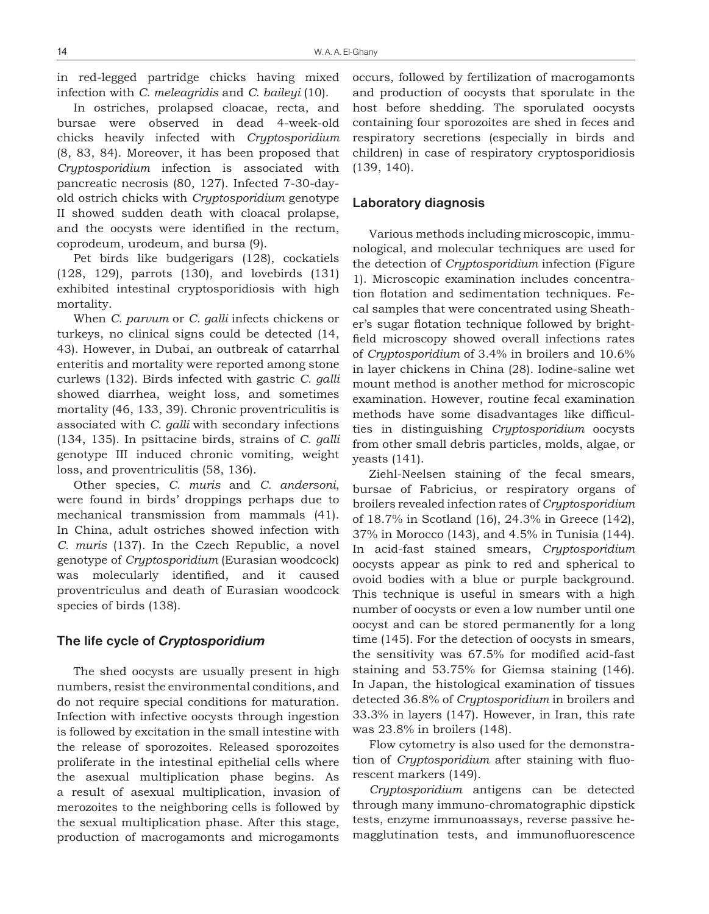in red-legged partridge chicks having mixed infection with *C. meleagridis* and *C. baileyi* (10).

In ostriches, prolapsed cloacae, recta, and bursae were observed in dead 4-week-old chicks heavily infected with *Cryptosporidium* (8, 83, 84). Moreover, it has been proposed that *Cryptosporidium* infection is associated with pancreatic necrosis (80, 127). Infected 7-30-dayold ostrich chicks with *Cryptosporidium* genotype II showed sudden death with cloacal prolapse, and the oocysts were identified in the rectum, coprodeum, urodeum, and bursa (9).

Pet birds like budgerigars (128), cockatiels (128, 129), parrots (130), and lovebirds (131) exhibited intestinal cryptosporidiosis with high mortality.

When *C. parvum* or *C. galli* infects chickens or turkeys, no clinical signs could be detected (14, 43). However, in Dubai, an outbreak of catarrhal enteritis and mortality were reported among stone curlews (132). Birds infected with gastric *C. galli* showed diarrhea, weight loss, and sometimes mortality (46, 133, 39). Chronic proventriculitis is associated with *C. galli* with secondary infections (134, 135). In psittacine birds, strains of *C. galli* genotype III induced chronic vomiting, weight loss, and proventriculitis (58, 136).

Other species, *C. muris* and *C. andersoni*, were found in birds' droppings perhaps due to mechanical transmission from mammals (41). In China, adult ostriches showed infection with *C. muris* (137). In the Czech Republic, a novel genotype of *Cryptosporidium* (Eurasian woodcock) was molecularly identified, and it caused proventriculus and death of Eurasian woodcock species of birds (138).

#### **The life cycle of** *Cryptosporidium*

The shed oocysts are usually present in high numbers, resist the environmental conditions, and do not require special conditions for maturation. Infection with infective oocysts through ingestion is followed by excitation in the small intestine with the release of sporozoites. Released sporozoites proliferate in the intestinal epithelial cells where the asexual multiplication phase begins. As a result of asexual multiplication, invasion of merozoites to the neighboring cells is followed by the sexual multiplication phase. After this stage, production of macrogamonts and microgamonts occurs, followed by fertilization of macrogamonts and production of oocysts that sporulate in the host before shedding. The sporulated oocysts containing four sporozoites are shed in feces and respiratory secretions (especially in birds and children) in case of respiratory cryptosporidiosis (139, 140).

#### **Laboratory diagnosis**

Various methods including microscopic, immunological, and molecular techniques are used for the detection of *Cryptosporidium* infection (Figure 1). Microscopic examination includes concentration flotation and sedimentation techniques. Fecal samples that were concentrated using Sheather's sugar flotation technique followed by brightfield microscopy showed overall infections rates of *Cryptosporidium* of 3.4% in broilers and 10.6% in layer chickens in China (28). Iodine-saline wet mount method is another method for microscopic examination. However, routine fecal examination methods have some disadvantages like difficulties in distinguishing *Cryptosporidium* oocysts from other small debris particles, molds, algae, or yeasts (141).

Ziehl-Neelsen staining of the fecal smears, bursae of Fabricius, or respiratory organs of broilers revealed infection rates of *Cryptosporidium* of 18.7% in Scotland (16), 24.3% in Greece (142), 37% in Morocco (143), and 4.5% in Tunisia (144). In acid-fast stained smears, *Cryptosporidium* oocysts appear as pink to red and spherical to ovoid bodies with a blue or purple background. This technique is useful in smears with a high number of oocysts or even a low number until one oocyst and can be stored permanently for a long time (145). For the detection of oocysts in smears, the sensitivity was 67.5% for modified acid-fast staining and 53.75% for Giemsa staining (146). In Japan, the histological examination of tissues detected 36.8% of *Cryptosporidium* in broilers and 33.3% in layers (147). However, in Iran, this rate was 23.8% in broilers (148).

Flow cytometry is also used for the demonstration of *Cryptosporidium* after staining with fluorescent markers (149).

*Cryptosporidium* antigens can be detected through many immuno-chromatographic dipstick tests, enzyme immunoassays, reverse passive hemagglutination tests, and immunofluorescence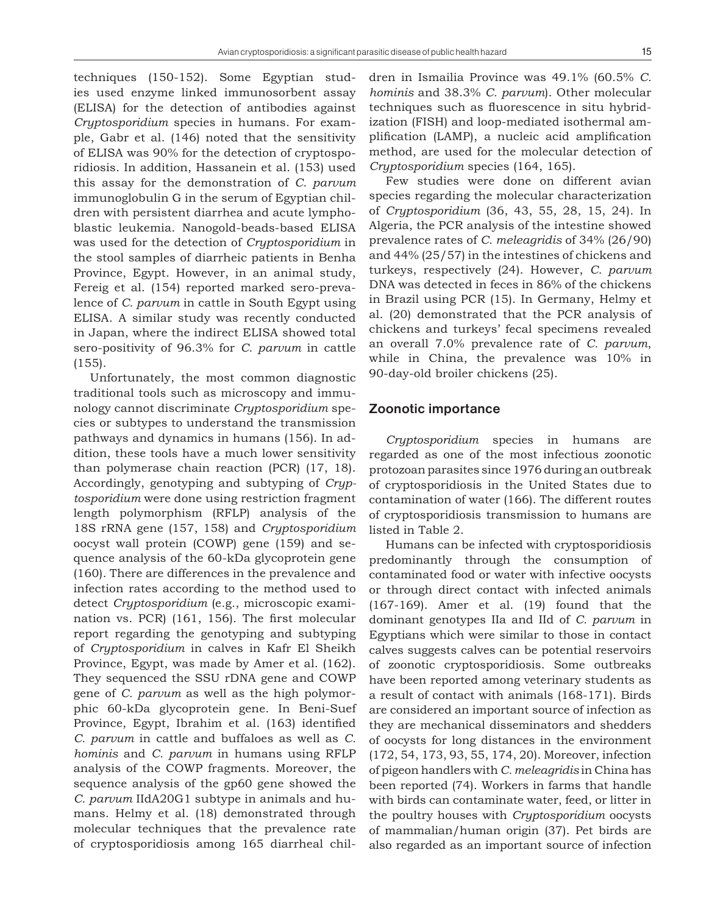techniques (150-152). Some Egyptian studies used enzyme linked immunosorbent assay (ELISA) for the detection of antibodies against *Cryptosporidium* species in humans. For example, Gabr et al. (146) noted that the sensitivity of ELISA was 90% for the detection of cryptosporidiosis. In addition, Hassanein et al. (153) used this assay for the demonstration of *C. parvum* immunoglobulin G in the serum of Egyptian children with persistent diarrhea and acute lymphoblastic leukemia. Nanogold-beads-based ELISA was used for the detection of *Cryptosporidium* in the stool samples of diarrheic patients in Benha Province, Egypt. However, in an animal study, Fereig et al. (154) reported marked sero-prevalence of *C. parvum* in cattle in South Egypt using ELISA. A similar study was recently conducted in Japan, where the indirect ELISA showed total sero-positivity of 96.3% for *C. parvum* in cattle (155).

Unfortunately, the most common diagnostic traditional tools such as microscopy and immunology cannot discriminate *Cryptosporidium* species or subtypes to understand the transmission pathways and dynamics in humans (156). In addition, these tools have a much lower sensitivity than polymerase chain reaction (PCR) (17, 18). Accordingly, genotyping and subtyping of *Cryptosporidium* were done using restriction fragment length polymorphism (RFLP) analysis of the 18S rRNA gene (157, 158) and *Cryptosporidium* oocyst wall protein (COWP) gene (159) and sequence analysis of the 60-kDa glycoprotein gene (160). There are differences in the prevalence and infection rates according to the method used to detect *Cryptosporidium* (e.g., microscopic examination vs. PCR) (161, 156). The first molecular report regarding the genotyping and subtyping of *Cryptosporidium* in calves in Kafr El Sheikh Province, Egypt, was made by Amer et al. (162). They sequenced the SSU rDNA gene and COWP gene of *C. parvum* as well as the high polymorphic 60-kDa glycoprotein gene. In Beni-Suef Province, Egypt, Ibrahim et al. (163) identified *C. parvum* in cattle and buffaloes as well as *C. hominis* and *C. parvum* in humans using RFLP analysis of the COWP fragments. Moreover, the sequence analysis of the gp60 gene showed the *C. parvum* IIdA20G1 subtype in animals and humans. Helmy et al. (18) demonstrated through molecular techniques that the prevalence rate of cryptosporidiosis among 165 diarrheal children in Ismailia Province was 49.1% (60.5% *C. hominis* and 38.3% *C. parvum*). Other molecular techniques such as fluorescence in situ hybridization (FISH) and loop-mediated isothermal amplification (LAMP), a nucleic acid amplification method, are used for the molecular detection of *Cryptosporidium* species (164, 165).

Few studies were done on different avian species regarding the molecular characterization of *Cryptosporidium* (36, 43, 55, 28, 15, 24). In Algeria, the PCR analysis of the intestine showed prevalence rates of *C. meleagridis* of 34% (26/90) and 44% (25/57) in the intestines of chickens and turkeys, respectively (24). However, *C. parvum* DNA was detected in feces in 86% of the chickens in Brazil using PCR (15). In Germany, Helmy et al. (20) demonstrated that the PCR analysis of chickens and turkeys' fecal specimens revealed an overall 7.0% prevalence rate of *C. parvum*, while in China, the prevalence was 10% in 90-day-old broiler chickens (25).

#### **Zoonotic importance**

*Cryptosporidium* species in humans are regarded as one of the most infectious zoonotic protozoan parasites since 1976 during an outbreak of cryptosporidiosis in the United States due to contamination of water (166). The different routes of cryptosporidiosis transmission to humans are listed in Table 2.

Humans can be infected with cryptosporidiosis predominantly through the consumption of contaminated food or water with infective oocysts or through direct contact with infected animals (167-169). Amer et al. (19) found that the dominant genotypes IIa and IId of *C. parvum* in Egyptians which were similar to those in contact calves suggests calves can be potential reservoirs of zoonotic cryptosporidiosis. Some outbreaks have been reported among veterinary students as a result of contact with animals (168-171). Birds are considered an important source of infection as they are mechanical disseminators and shedders of oocysts for long distances in the environment (172, 54, 173, 93, 55, 174, 20). Moreover, infection of pigeon handlers with *C. meleagridis* in China has been reported (74). Workers in farms that handle with birds can contaminate water, feed, or litter in the poultry houses with *Cryptosporidium* oocysts of mammalian/human origin (37). Pet birds are also regarded as an important source of infection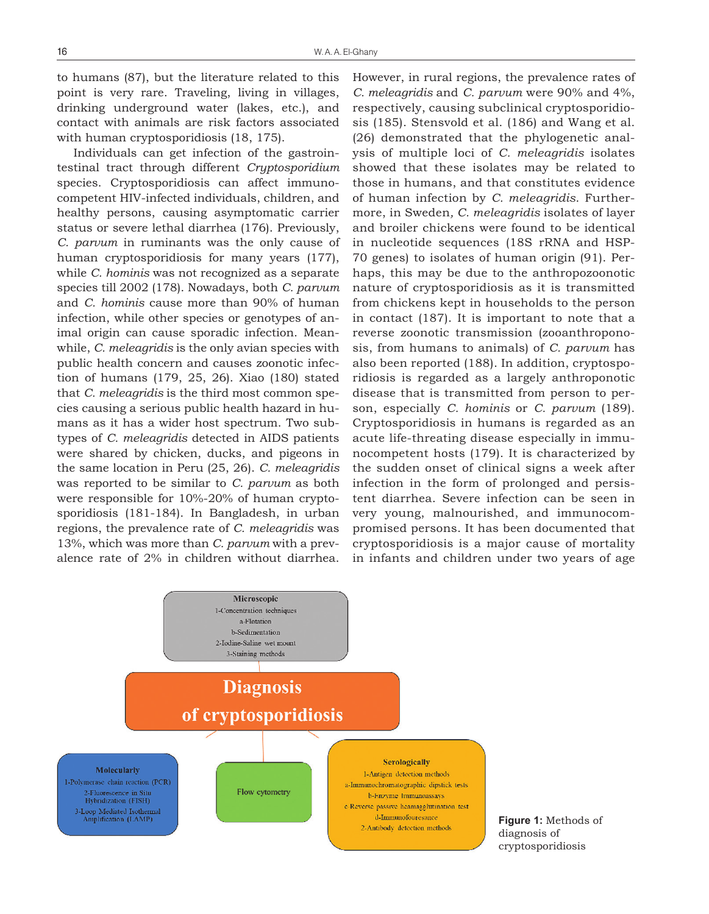to humans (87), but the literature related to this point is very rare. Traveling, living in villages, drinking underground water (lakes, etc.), and contact with animals are risk factors associated with human cryptosporidiosis (18, 175).

Individuals can get infection of the gastrointestinal tract through different *Cryptosporidium* species. Cryptosporidiosis can affect immunocompetent HIV-infected individuals, children, and healthy persons, causing asymptomatic carrier status or severe lethal diarrhea (176). Previously, *C. parvum* in ruminants was the only cause of human cryptosporidiosis for many years (177), while *C. hominis* was not recognized as a separate species till 2002 (178). Nowadays, both *C. parvum* and *C. hominis* cause more than 90% of human infection, while other species or genotypes of animal origin can cause sporadic infection. Meanwhile, *C. meleagridis* is the only avian species with public health concern and causes zoonotic infection of humans (179, 25, 26). Xiao (180) stated that *C. meleagridis* is the third most common species causing a serious public health hazard in humans as it has a wider host spectrum. Two subtypes of *C. meleagridis* detected in AIDS patients were shared by chicken, ducks, and pigeons in the same location in Peru (25, 26). *C. meleagridis* was reported to be similar to *C. parvum* as both were responsible for 10%-20% of human cryptosporidiosis (181-184). In Bangladesh, in urban regions, the prevalence rate of *C. meleagridis* was 13%, which was more than *C. parvum* with a prevalence rate of 2% in children without diarrhea. However, in rural regions, the prevalence rates of *C. meleagridis* and *C. parvum* were 90% and 4%, respectively, causing subclinical cryptosporidiosis (185). Stensvold et al. (186) and Wang et al. (26) demonstrated that the phylogenetic analysis of multiple loci of *C. meleagridis* isolates showed that these isolates may be related to those in humans, and that constitutes evidence of human infection by *C. meleagridis*. Furthermore, in Sweden*, C. meleagridis* isolates of layer and broiler chickens were found to be identical in nucleotide sequences (18S rRNA and HSP-70 genes) to isolates of human origin (91). Perhaps, this may be due to the anthropozoonotic nature of cryptosporidiosis as it is transmitted from chickens kept in households to the person in contact (187). It is important to note that a reverse zoonotic transmission (zooanthroponosis, from humans to animals) of *C. parvum* has also been reported (188). In addition, cryptosporidiosis is regarded as a largely anthroponotic disease that is transmitted from person to person, especially *C. hominis* or *C. parvum* (189). Cryptosporidiosis in humans is regarded as an acute life-threating disease especially in immunocompetent hosts (179). It is characterized by the sudden onset of clinical signs a week after infection in the form of prolonged and persistent diarrhea. Severe infection can be seen in very young, malnourished, and immunocompromised persons. It has been documented that cryptosporidiosis is a major cause of mortality in infants and children under two years of age



**Figure 1:** Methods of diagnosis of cryptosporidiosis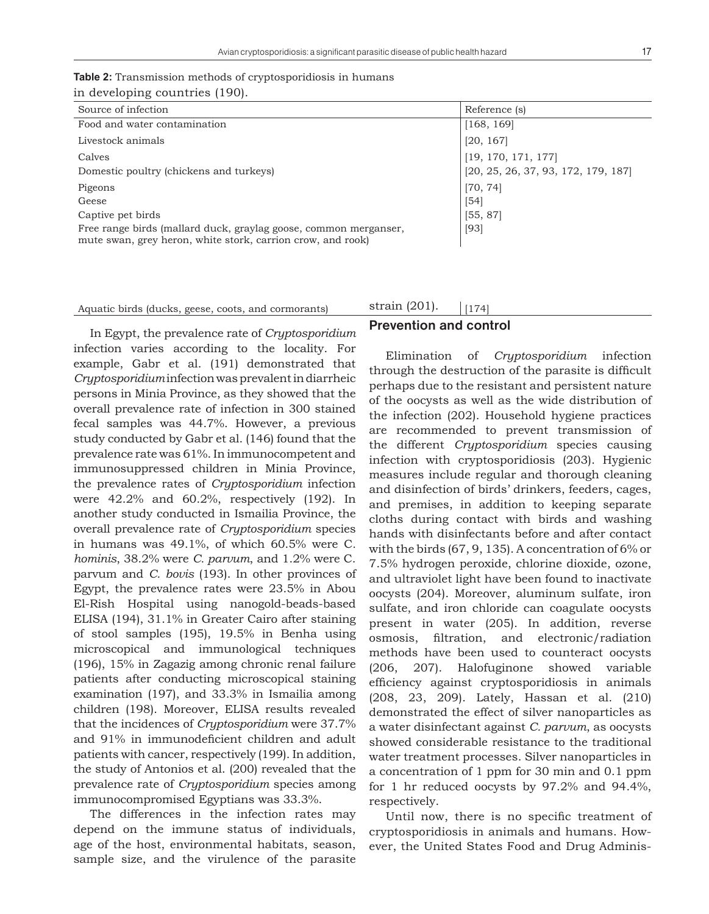|                                | <b>Table 2:</b> Transmission methods of cryptosporidiosis in humans |
|--------------------------------|---------------------------------------------------------------------|
| in developing countries (190). |                                                                     |

| Source of infection                                              | Reference (s)                       |
|------------------------------------------------------------------|-------------------------------------|
| Food and water contamination                                     | [168, 169]                          |
| Livestock animals                                                | [20, 167]                           |
| Calves                                                           | [19, 170, 171, 177]                 |
| Domestic poultry (chickens and turkeys)                          | [20, 25, 26, 37, 93, 172, 179, 187] |
| Pigeons                                                          | [70, 74]                            |
| Geese                                                            | [54]                                |
| Captive pet birds                                                | [55, 87]                            |
| Free range birds (mallard duck, graylag goose, common merganser, | [93]                                |
| mute swan, grey heron, white stork, carrion crow, and rook)      |                                     |

#### Aquatic birds (ducks, geese, coots, and cormorants)  $\frac{\text{strain}(201)}{174}$

strain (201).

**Prevention and control** 

#### In Egypt, the prevalence rate of *Cryptosporidium* infection varies according to the locality. For example, Gabr et al. (191) demonstrated that *Cryptosporidium* infection was prevalent in diarrheic persons in Minia Province, as they showed that the overall prevalence rate of infection in 300 stained fecal samples was 44.7%. However, a previous study conducted by Gabr et al. (146) found that the prevalence rate was 61%. In immunocompetent and immunosuppressed children in Minia Province, the prevalence rates of *Cryptosporidium* infection were 42.2% and 60.2%, respectively (192). In another study conducted in Ismailia Province, the overall prevalence rate of *Cryptosporidium* species in humans was 49.1%, of which 60.5% were C*. hominis*, 38.2% were *C. parvum*, and 1.2% were C. parvum and *C. bovis* (193). In other provinces of Egypt, the prevalence rates were 23.5% in Abou El-Rish Hospital using nanogold-beads-based ELISA (194), 31.1% in Greater Cairo after staining of stool samples (195), 19.5% in Benha using microscopical and immunological techniques (196), 15% in Zagazig among chronic renal failure patients after conducting microscopical staining examination (197), and 33.3% in Ismailia among children (198). Moreover, ELISA results revealed that the incidences of *Cryptosporidium* were 37.7% and 91% in immunodeficient children and adult patients with cancer, respectively (199). In addition, the study of Antonios et al. (200) revealed that the prevalence rate of *Cryptosporidium* species among immunocompromised Egyptians was 33.3%.

The differences in the infection rates may depend on the immune status of individuals, age of the host, environmental habitats, season, sample size, and the virulence of the parasite

Elimination of *Cryptosporidium* infection through the destruction of the parasite is difficult perhaps due to the resistant and persistent nature of the oocysts as well as the wide distribution of the infection (202). Household hygiene practices are recommended to prevent transmission of the different *Cryptosporidium* species causing infection with cryptosporidiosis (203). Hygienic measures include regular and thorough cleaning and disinfection of birds' drinkers, feeders, cages, and premises, in addition to keeping separate cloths during contact with birds and washing hands with disinfectants before and after contact with the birds (67, 9, 135). A concentration of 6% or 7.5% hydrogen peroxide, chlorine dioxide, ozone, and ultraviolet light have been found to inactivate oocysts (204). Moreover, aluminum sulfate, iron sulfate, and iron chloride can coagulate oocysts present in water (205). In addition, reverse osmosis, filtration, and electronic/radiation methods have been used to counteract oocysts (206, 207). Halofuginone showed variable efficiency against cryptosporidiosis in animals (208, 23, 209). Lately, Hassan et al. (210) demonstrated the effect of silver nanoparticles as a water disinfectant against *C. parvum*, as oocysts showed considerable resistance to the traditional water treatment processes. Silver nanoparticles in a concentration of 1 ppm for 30 min and 0.1 ppm for 1 hr reduced oocysts by 97.2% and 94.4%,

Until now, there is no specific treatment of cryptosporidiosis in animals and humans. However, the United States Food and Drug Adminis-

respectively.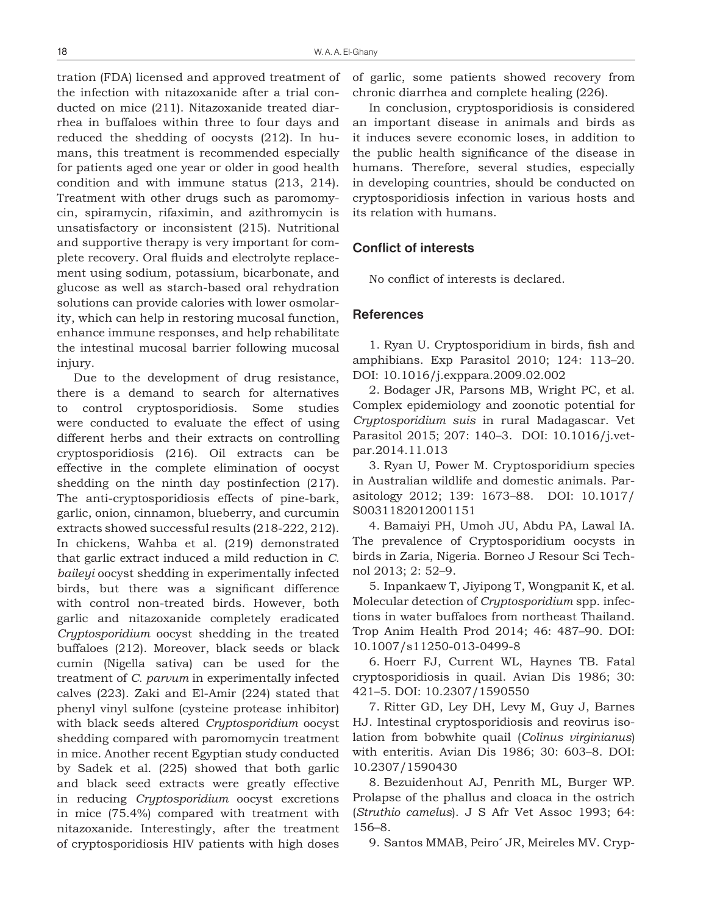tration (FDA) licensed and approved treatment of the infection with nitazoxanide after a trial conducted on mice (211). Nitazoxanide treated diarrhea in buffaloes within three to four days and reduced the shedding of oocysts (212). In humans, this treatment is recommended especially for patients aged one year or older in good health condition and with immune status (213, 214). Treatment with other drugs such as paromomycin, spiramycin, rifaximin, and azithromycin is unsatisfactory or inconsistent (215). Nutritional and supportive therapy is very important for complete recovery. Oral fluids and electrolyte replacement using sodium, potassium, bicarbonate, and glucose as well as starch-based oral rehydration solutions can provide calories with lower osmolarity, which can help in restoring mucosal function, enhance immune responses, and help rehabilitate the intestinal mucosal barrier following mucosal injury.

Due to the development of drug resistance, there is a demand to search for alternatives to control cryptosporidiosis. Some studies were conducted to evaluate the effect of using different herbs and their extracts on controlling cryptosporidiosis (216). Oil extracts can be effective in the complete elimination of oocyst shedding on the ninth day postinfection (217). The anti-cryptosporidiosis effects of pine-bark, garlic, onion, cinnamon, blueberry, and curcumin extracts showed successful results (218-222, 212). In chickens, Wahba et al. (219) demonstrated that garlic extract induced a mild reduction in *C. baileyi* oocyst shedding in experimentally infected birds, but there was a significant difference with control non-treated birds. However, both garlic and nitazoxanide completely eradicated *Cryptosporidium* oocyst shedding in the treated buffaloes (212). Moreover, black seeds or black cumin (Nigella sativa) can be used for the treatment of *C. parvum* in experimentally infected calves (223). Zaki and El-Amir (224) stated that phenyl vinyl sulfone (cysteine protease inhibitor) with black seeds altered *Cryptosporidium* oocyst shedding compared with paromomycin treatment in mice. Another recent Egyptian study conducted by Sadek et al. (225) showed that both garlic and black seed extracts were greatly effective in reducing *Cryptosporidium* oocyst excretions in mice (75.4%) compared with treatment with nitazoxanide. Interestingly, after the treatment of cryptosporidiosis HIV patients with high doses of garlic, some patients showed recovery from chronic diarrhea and complete healing (226).

In conclusion, cryptosporidiosis is considered an important disease in animals and birds as it induces severe economic loses, in addition to the public health significance of the disease in humans. Therefore, several studies, especially in developing countries, should be conducted on cryptosporidiosis infection in various hosts and its relation with humans.

#### **Conflict of interests**

No conflict of interests is declared.

#### **References**

1. Ryan U. Cryptosporidium in birds, fish and amphibians. Exp Parasitol 2010; 124: 113–20. DOI: 10.1016/j.exppara.2009.02.002

2. Bodager JR, Parsons MB, Wright PC, et al. Complex epidemiology and zoonotic potential for *Cryptosporidium suis* in rural Madagascar. Vet Parasitol 2015; 207: 140–3. DOI: 10.1016/j.vetpar.2014.11.013

3. Ryan U, Power M. Cryptosporidium species in Australian wildlife and domestic animals. Parasitology 2012; 139: 1673–88. DOI: 10.1017/ S0031182012001151

4. Bamaiyi PH, Umoh JU, Abdu PA, Lawal IA. The prevalence of Cryptosporidium oocysts in birds in Zaria, Nigeria. Borneo J Resour Sci Technol 2013; 2: 52–9.

5. Inpankaew T, Jiyipong T, Wongpanit K, et al. Molecular detection of *Cryptosporidium* spp. infections in water buffaloes from northeast Thailand. Trop Anim Health Prod 2014; 46: 487–90. DOI: 10.1007/s11250-013-0499-8

6. Hoerr FJ, Current WL, Haynes TB. Fatal cryptosporidiosis in quail. Avian Dis 1986; 30: 421–5. DOI: 10.2307/1590550

7. Ritter GD, Ley DH, Levy M, Guy J, Barnes HJ. Intestinal cryptosporidiosis and reovirus isolation from bobwhite quail (*Colinus virginianus*) with enteritis. Avian Dis 1986; 30: 603–8. DOI: 10.2307/1590430

8. Bezuidenhout AJ, Penrith ML, Burger WP. Prolapse of the phallus and cloaca in the ostrich (*Struthio camelus*). J S Afr Vet Assoc 1993; 64: 156–8.

9. Santos MMAB, Peiro´ JR, Meireles MV. Cryp-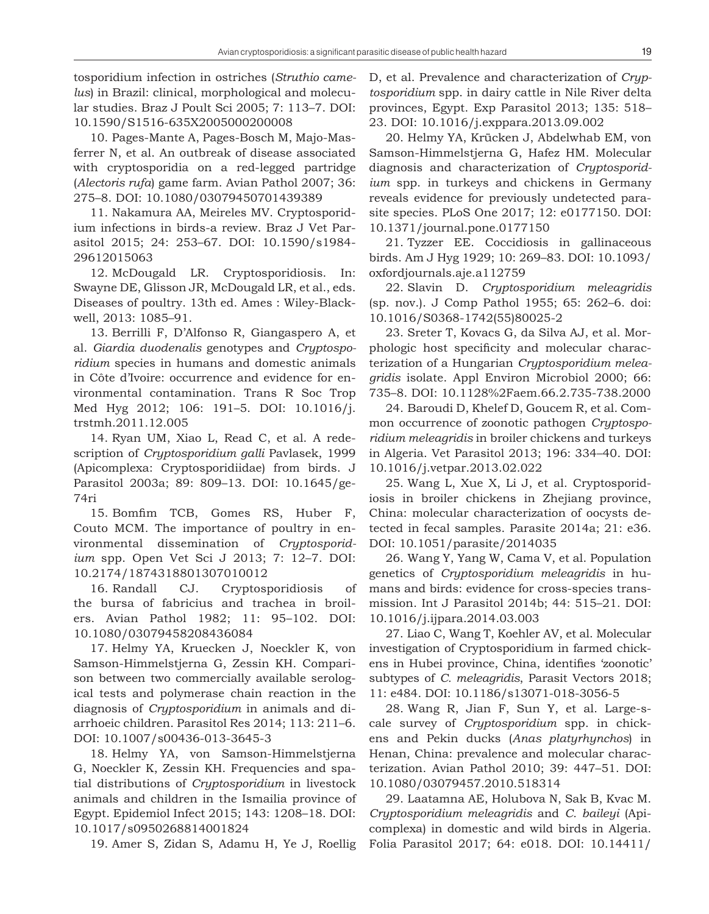tosporidium infection in ostriches (*Struthio camelus*) in Brazil: clinical, morphological and molecular studies. Braz J Poult Sci 2005; 7: 113–7. DOI: 10.1590/S1516-635X2005000200008

10. Pages-Mante A, Pages-Bosch M, Majo-Masferrer N, et al. An outbreak of disease associated with cryptosporidia on a red-legged partridge (*Alectoris rufa*) game farm. Avian Pathol 2007; 36: 275–8. DOI: 10.1080/03079450701439389

11. Nakamura AA, Meireles MV. Cryptosporidium infections in birds-a review. Braz J Vet Parasitol 2015; 24: 253–67. DOI: 10.1590/s1984- 29612015063

12. McDougald LR. Cryptosporidiosis. In: Swayne DE, Glisson JR, McDougald LR, et al., eds. Diseases of poultry. 13th ed. Ames : Wiley-Blackwell, 2013: 1085–91.

13. Berrilli F, D'Alfonso R, Giangaspero A, et al. *Giardia duodenalis* genotypes and *Cryptosporidium* species in humans and domestic animals in Côte d'Ivoire: occurrence and evidence for environmental contamination. Trans R Soc Trop Med Hyg 2012; 106: 191–5. DOI: 10.1016/j. trstmh.2011.12.005

14. Ryan UM, Xiao L, Read C, et al. A redescription of *Cryptosporidium galli* Pavlasek, 1999 (Apicomplexa: Cryptosporidiidae) from birds. J Parasitol 2003a; 89: 809–13. DOI: 10.1645/ge-74ri

15. Bomfim TCB, Gomes RS, Huber F, Couto MCM. The importance of poultry in environmental dissemination of *Cryptosporidium* spp. Open Vet Sci J 2013; 7: 12–7. DOI: 10.2174/1874318801307010012

16. Randall CJ. Cryptosporidiosis of the bursa of fabricius and trachea in broilers. Avian Pathol 1982; 11: 95–102. DOI: 10.1080/03079458208436084

17. Helmy YA, Kruecken J, Noeckler K, von Samson-Himmelstjerna G, Zessin KH. Comparison between two commercially available serological tests and polymerase chain reaction in the diagnosis of *Cryptosporidium* in animals and diarrhoeic children. Parasitol Res 2014; 113: 211–6. DOI: 10.1007/s00436-013-3645-3

18. Helmy YA, von Samson-Himmelstjerna G, Noeckler K, Zessin KH. Frequencies and spatial distributions of *Cryptosporidium* in livestock animals and children in the Ismailia province of Egypt. Epidemiol Infect 2015; 143: 1208–18. DOI: 10.1017/s0950268814001824

19. Amer S, Zidan S, Adamu H, Ye J, Roellig

D, et al. Prevalence and characterization of *Cryptosporidium* spp. in dairy cattle in Nile River delta provinces, Egypt. Exp Parasitol 2013; 135: 518– 23. DOI: 10.1016/j.exppara.2013.09.002

20. Helmy YA, Krücken J, Abdelwhab EM, von Samson-Himmelstjerna G, Hafez HM. Molecular diagnosis and characterization of *Cryptosporidium* spp. in turkeys and chickens in Germany reveals evidence for previously undetected parasite species. PLoS One 2017; 12: e0177150. DOI: 10.1371/journal.pone.0177150

21. Tyzzer EE. Coccidiosis in gallinaceous birds. Am J Hyg 1929; 10: 269–83. DOI: 10.1093/ oxfordjournals.aje.a112759

22. Slavin D. *Cryptosporidium meleagridis* (sp. nov.). J Comp Pathol 1955; 65: 262–6. doi: 10.1016/S0368-1742(55)80025-2

23. Sreter T, Kovacs G, da Silva AJ, et al. Morphologic host specificity and molecular characterization of a Hungarian *Cryptosporidium meleagridis* isolate. Appl Environ Microbiol 2000; 66: 735–8. DOI: 10.1128%2Faem.66.2.735-738.2000

24. Baroudi D, Khelef D, Goucem R, et al. Common occurrence of zoonotic pathogen *Cryptosporidium meleagridis* in broiler chickens and turkeys in Algeria. Vet Parasitol 2013; 196: 334–40. DOI: 10.1016/j.vetpar.2013.02.022

25. Wang L, Xue X, Li J, et al. Cryptosporidiosis in broiler chickens in Zhejiang province, China: molecular characterization of oocysts detected in fecal samples. Parasite 2014a; 21: e36. DOI: 10.1051/parasite/2014035

26. Wang Y, Yang W, Cama V, et al. Population genetics of *Cryptosporidium meleagridis* in humans and birds: evidence for cross-species transmission. Int J Parasitol 2014b; 44: 515–21. DOI: 10.1016/j.ijpara.2014.03.003

27. Liao C, Wang T, Koehler AV, et al. Molecular investigation of Cryptosporidium in farmed chickens in Hubei province, China, identifies 'zoonotic' subtypes of *C. meleagridis*, Parasit Vectors 2018; 11: e484. DOI: 10.1186/s13071-018-3056-5

28. Wang R, Jian F, Sun Y, et al. Large-scale survey of *Cryptosporidium* spp. in chickens and Pekin ducks (*Anas platyrhynchos*) in Henan, China: prevalence and molecular characterization. Avian Pathol 2010; 39: 447–51. DOI: 10.1080/03079457.2010.518314

29. Laatamna AE, Holubova N, Sak B, Kvac M. *Cryptosporidium meleagridis* and *C. baileyi* (Apicomplexa) in domestic and wild birds in Algeria. Folia Parasitol 2017; 64: e018. DOI: 10.14411/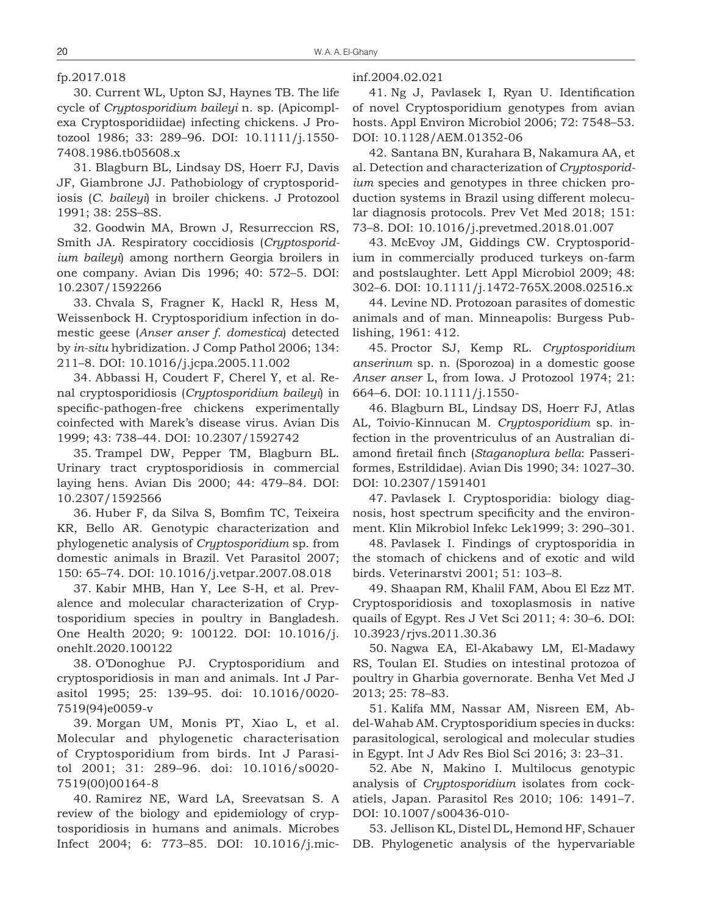#### fp.2017.018

30. Current WL, Upton SJ, Haynes TB. The life cycle of *Cryptosporidium baileyi* n. sp. (Apicomplexa Cryptosporidiidae) infecting chickens. J Protozool 1986; 33: 289–96. DOI: 10.1111/j.1550- 7408.1986.tb05608.x

31. Blagburn BL, Lindsay DS, Hoerr FJ, Davis JF, Giambrone JJ. Pathobiology of cryptosporidiosis (*C. baileyi*) in broiler chickens. J Protozool 1991; 38: 25S–8S.

32. Goodwin MA, Brown J, Resurreccion RS, Smith JA. Respiratory coccidiosis (*Cryptosporidium baileyi*) among northern Georgia broilers in one company. Avian Dis 1996; 40: 572–5. DOI: 10.2307/1592266

33. Chvala S, Fragner K, Hackl R, Hess M, Weissenbock H. Cryptosporidium infection in domestic geese (*Anser anser f. domestica*) detected by *in-situ* hybridization. J Comp Pathol 2006; 134: 211–8. DOI: 10.1016/j.jcpa.2005.11.002

34. Abbassi H, Coudert F, Cherel Y, et al. Renal cryptosporidiosis (*Cryptosporidium baileyi*) in specific-pathogen-free chickens experimentally coinfected with Marek's disease virus. Avian Dis 1999; 43: 738–44. DOI: 10.2307/1592742

35. Trampel DW, Pepper TM, Blagburn BL. Urinary tract cryptosporidiosis in commercial laying hens. Avian Dis 2000; 44: 479–84. DOI: 10.2307/1592566

36. Huber F, da Silva S, Bomfim TC, Teixeira KR, Bello AR. Genotypic characterization and phylogenetic analysis of *Cryptosporidium* sp. from domestic animals in Brazil. Vet Parasitol 2007; 150: 65–74. DOI: 10.1016/j.vetpar.2007.08.018

37. Kabir MHB, Han Y, Lee S-H, et al. Prevalence and molecular characterization of Cryptosporidium species in poultry in Bangladesh. One Health 2020; 9: 100122. DOI: 10.1016/j. onehlt.2020.100122

38. O'Donoghue PJ. Cryptosporidium and cryptosporidiosis in man and animals. Int J Parasitol 1995; 25: 139–95. doi: 10.1016/0020- 7519(94)e0059-v

39. Morgan UM, Monis PT, Xiao L, et al. Molecular and phylogenetic characterisation of Cryptosporidium from birds. Int J Parasitol 2001; 31: 289–96. doi: 10.1016/s0020- 7519(00)00164-8

40. Ramirez NE, Ward LA, Sreevatsan S. A review of the biology and epidemiology of cryptosporidiosis in humans and animals. Microbes Infect 2004; 6: 773–85. DOI: 10.1016/j.micinf.2004.02.021

41. Ng J, Pavlasek I, Ryan U. Identification of novel Cryptosporidium genotypes from avian hosts. Appl Environ Microbiol 2006; 72: 7548–53. DOI: 10.1128/AEM.01352-06

42. Santana BN, Kurahara B, Nakamura AA, et al. Detection and characterization of *Cryptosporidium* species and genotypes in three chicken production systems in Brazil using different molecular diagnosis protocols. Prev Vet Med 2018; 151: 73–8. DOI: 10.1016/j.prevetmed.2018.01.007

43. McEvoy JM, Giddings CW. Cryptosporidium in commercially produced turkeys on-farm and postslaughter. Lett Appl Microbiol 2009; 48: 302–6. DOI: 10.1111/j.1472-765X.2008.02516.x

44. Levine ND. Protozoan parasites of domestic animals and of man. Minneapolis: Burgess Publishing, 1961: 412.

45. Proctor SJ, Kemp RL. *Cryptosporidium anserinum* sp. n. (Sporozoa) in a domestic goose *Anser anser* L, from Iowa. J Protozool 1974; 21: 664–6. DOI: 10.1111/j.1550-

46. Blagburn BL, Lindsay DS, Hoerr FJ, Atlas AL, Toivio-Kinnucan M. *Cryptosporidium* sp. infection in the proventriculus of an Australian diamond firetail finch (*Staganoplura bella*: Passeriformes, Estrildidae). Avian Dis 1990; 34: 1027–30. DOI: 10.2307/1591401

47. Pavlasek I. Cryptosporidia: biology diagnosis, host spectrum specificity and the environment. Klin Mikrobiol Infekc Lek1999; 3: 290–301.

48. Pavlasek I. Findings of cryptosporidia in the stomach of chickens and of exotic and wild birds. Veterinarstvi 2001; 51: 103–8.

49. Shaapan RM, Khalil FAM, Abou El Ezz MT. Cryptosporidiosis and toxoplasmosis in native quails of Egypt. Res J Vet Sci 2011; 4: 30–6. DOI: 10.3923/rjvs.2011.30.36

50. Nagwa EA, El-Akabawy LM, El-Madawy RS, Toulan EI. Studies on intestinal protozoa of poultry in Gharbia governorate. Benha Vet Med J 2013; 25: 78–83.

51. Kalifa MM, Nassar AM, Nisreen EM, Abdel-Wahab AM. Cryptosporidium species in ducks: parasitological, serological and molecular studies in Egypt. Int J Adv Res Biol Sci 2016; 3: 23–31.

52. Abe N, Makino I. Multilocus genotypic analysis of *Cryptosporidium* isolates from cockatiels, Japan. Parasitol Res 2010; 106: 1491–7. DOI: 10.1007/s00436-010-

53. Jellison KL, Distel DL, Hemond HF, Schauer DB. Phylogenetic analysis of the hypervariable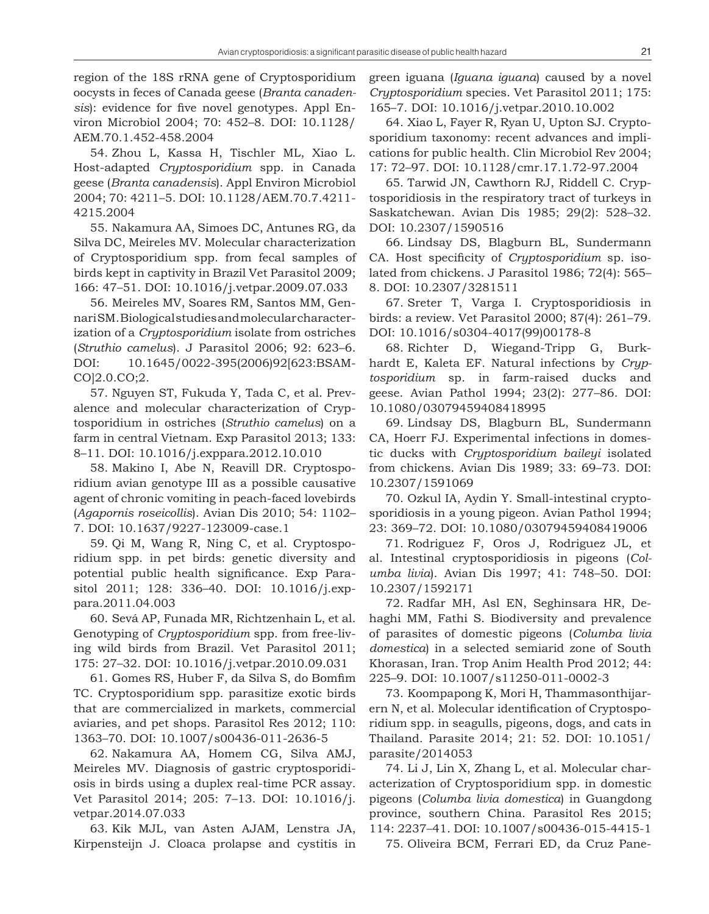region of the 18S rRNA gene of Cryptosporidium oocysts in feces of Canada geese (*Branta canadensis*): evidence for five novel genotypes. Appl Environ Microbiol 2004; 70: 452–8. DOI: 10.1128/ AEM.70.1.452-458.2004

54. Zhou L, Kassa H, Tischler ML, Xiao L. Host-adapted *Cryptosporidium* spp. in Canada geese (*Branta canadensis*). Appl Environ Microbiol 2004; 70: 4211–5. DOI: 10.1128/AEM.70.7.4211- 4215.2004

55. Nakamura AA, Simoes DC, Antunes RG, da Silva DC, Meireles MV. Molecular characterization of Cryptosporidium spp. from fecal samples of birds kept in captivity in Brazil Vet Parasitol 2009; 166: 47–51. DOI: 10.1016/j.vetpar.2009.07.033

56. Meireles MV, Soares RM, Santos MM, Gennari SM. Biological studies and molecular characterization of a *Cryptosporidium* isolate from ostriches (*Struthio camelus*). J Parasitol 2006; 92: 623–6. DOI: 10.1645/0022-395(2006)92[623:BSAM-CO]2.0.CO;2.

57. Nguyen ST, Fukuda Y, Tada C, et al. Prevalence and molecular characterization of Cryptosporidium in ostriches (*Struthio camelus*) on a farm in central Vietnam. Exp Parasitol 2013; 133: 8–11. DOI: 10.1016/j.exppara.2012.10.010

58. Makino I, Abe N, Reavill DR. Cryptosporidium avian genotype III as a possible causative agent of chronic vomiting in peach-faced lovebirds (*Agapornis roseicollis*). Avian Dis 2010; 54: 1102– 7. DOI: 10.1637/9227-123009-case.1

59. Qi M, Wang R, Ning C, et al. Cryptosporidium spp. in pet birds: genetic diversity and potential public health significance. Exp Parasitol 2011; 128: 336–40. DOI: 10.1016/j.exppara.2011.04.003

60. Sevá AP, Funada MR, Richtzenhain L, et al. Genotyping of *Cryptosporidium* spp. from free-living wild birds from Brazil. Vet Parasitol 2011; 175: 27–32. DOI: 10.1016/j.vetpar.2010.09.031

61. Gomes RS, Huber F, da Silva S, do Bomfim TC. Cryptosporidium spp. parasitize exotic birds that are commercialized in markets, commercial aviaries, and pet shops. Parasitol Res 2012; 110: 1363–70. DOI: 10.1007/s00436-011-2636-5

62. Nakamura AA, Homem CG, Silva AMJ, Meireles MV. Diagnosis of gastric cryptosporidiosis in birds using a duplex real-time PCR assay. Vet Parasitol 2014; 205: 7–13. DOI: 10.1016/j. vetpar.2014.07.033

63. Kik MJL, van Asten AJAM, Lenstra JA, Kirpensteijn J. Cloaca prolapse and cystitis in green iguana (*Iguana iguana*) caused by a novel *Cryptosporidium* species. Vet Parasitol 2011; 175: 165–7. DOI: 10.1016/j.vetpar.2010.10.002

64. Xiao L, Fayer R, Ryan U, Upton SJ. Cryptosporidium taxonomy: recent advances and implications for public health. Clin Microbiol Rev 2004; 17: 72–97. DOI: 10.1128/cmr.17.1.72-97.2004

65. Tarwid JN, Cawthorn RJ, Riddell C. Cryptosporidiosis in the respiratory tract of turkeys in Saskatchewan. Avian Dis 1985; 29(2): 528–32. DOI: 10.2307/1590516

66. Lindsay DS, Blagburn BL, Sundermann CA. Host specificity of *Cryptosporidium* sp. isolated from chickens. J Parasitol 1986; 72(4): 565– 8. DOI: 10.2307/3281511

67. Sreter T, Varga I. Cryptosporidiosis in birds: a review. Vet Parasitol 2000; 87(4): 261–79. DOI: 10.1016/s0304-4017(99)00178-8

68. Richter D, Wiegand-Tripp G, Burkhardt E, Kaleta EF. Natural infections by *Cryptosporidium* sp. in farm-raised ducks and geese. Avian Pathol 1994; 23(2): 277–86. DOI: 10.1080/03079459408418995

69. Lindsay DS, Blagburn BL, Sundermann CA, Hoerr FJ. Experimental infections in domestic ducks with *Cryptosporidium baileyi* isolated from chickens. Avian Dis 1989; 33: 69–73. DOI: 10.2307/1591069

70. Ozkul IA, Aydin Y. Small-intestinal cryptosporidiosis in a young pigeon. Avian Pathol 1994; 23: 369–72. DOI: 10.1080/03079459408419006

71. Rodriguez F, Oros J, Rodriguez JL, et al. Intestinal cryptosporidiosis in pigeons (*Columba livia*). Avian Dis 1997; 41: 748–50. DOI: 10.2307/1592171

72. Radfar MH, Asl EN, Seghinsara HR, Dehaghi MM, Fathi S. Biodiversity and prevalence of parasites of domestic pigeons (*Columba livia domestica*) in a selected semiarid zone of South Khorasan, Iran. Trop Anim Health Prod 2012; 44: 225–9. DOI: 10.1007/s11250-011-0002-3

73. Koompapong K, Mori H, Thammasonthijarern N, et al. Molecular identification of Cryptosporidium spp. in seagulls, pigeons, dogs, and cats in Thailand. Parasite 2014; 21: 52. DOI: 10.1051/ parasite/2014053

74. Li J, Lin X, Zhang L, et al. Molecular characterization of Cryptosporidium spp. in domestic pigeons (*Columba livia domestica*) in Guangdong province, southern China. Parasitol Res 2015; 114: 2237–41. DOI: 10.1007/s00436-015-4415-1

75. Oliveira BCM, Ferrari ED, da Cruz Pane-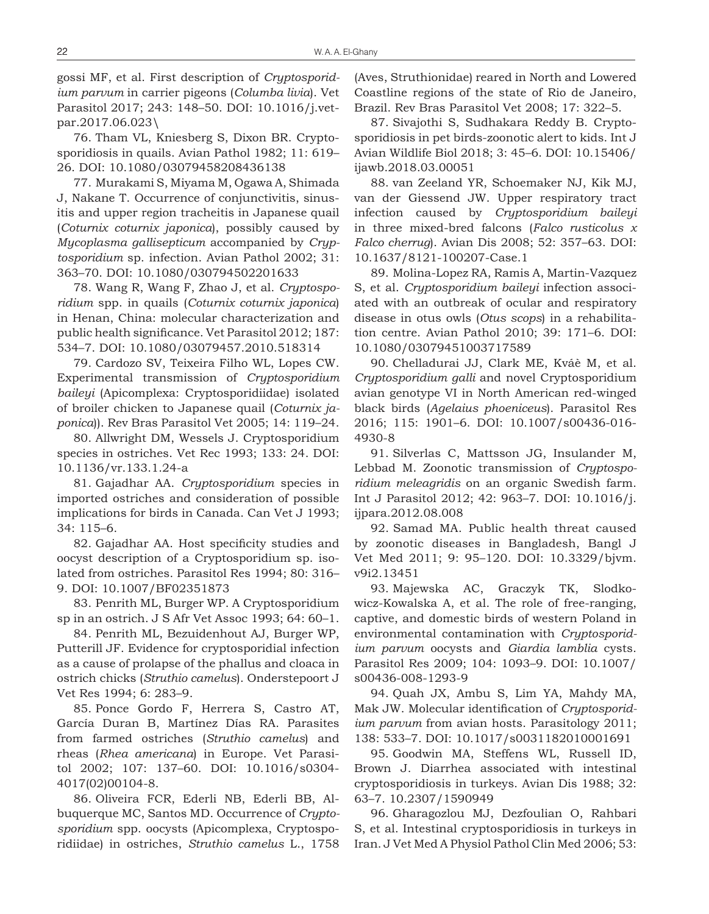gossi MF, et al. First description of *Cryptosporidium parvum* in carrier pigeons (*Columba livia*). Vet Parasitol 2017; 243: 148–50. DOI: 10.1016/j.vetpar.2017.06.023\

76. Tham VL, Kniesberg S, Dixon BR. Cryptosporidiosis in quails. Avian Pathol 1982; 11: 619– 26. DOI: 10.1080/03079458208436138

77. Murakami S, Miyama M, Ogawa A, Shimada J, Nakane T. Occurrence of conjunctivitis, sinusitis and upper region tracheitis in Japanese quail (*Coturnix coturnix japonica*), possibly caused by *Mycoplasma gallisepticum* accompanied by *Cryptosporidium* sp. infection. Avian Pathol 2002; 31: 363–70. DOI: 10.1080/030794502201633

78. Wang R, Wang F, Zhao J, et al. *Cryptosporidium* spp. in quails (*Coturnix coturnix japonica*) in Henan, China: molecular characterization and public health significance. Vet Parasitol 2012; 187: 534–7. DOI: 10.1080/03079457.2010.518314

79. Cardozo SV, Teixeira Filho WL, Lopes CW. Experimental transmission of *Cryptosporidium baileyi* (Apicomplexa: Cryptosporidiidae) isolated of broiler chicken to Japanese quail (*Coturnix japonica*)). Rev Bras Parasitol Vet 2005; 14: 119–24.

80. Allwright DM, Wessels J. Cryptosporidium species in ostriches. Vet Rec 1993; 133: 24. DOI: 10.1136/vr.133.1.24-a

81. Gajadhar AA. *Cryptosporidium* species in imported ostriches and consideration of possible implications for birds in Canada. Can Vet J 1993; 34: 115–6.

82. Gajadhar AA. Host specificity studies and oocyst description of a Cryptosporidium sp. isolated from ostriches. Parasitol Res 1994; 80: 316– 9. DOI: 10.1007/BF02351873

83. Penrith ML, Burger WP. A Cryptosporidium sp in an ostrich. J S Afr Vet Assoc 1993; 64: 60–1.

84. Penrith ML, Bezuidenhout AJ, Burger WP, Putterill JF. Evidence for cryptosporidial infection as a cause of prolapse of the phallus and cloaca in ostrich chicks (*Struthio camelus*). Onderstepoort J Vet Res 1994; 6: 283–9.

85. Ponce Gordo F, Herrera S, Castro AT, García Duran B, Martínez Días RA. Parasites from farmed ostriches (*Struthio camelus*) and rheas (*Rhea americana*) in Europe. Vet Parasitol 2002; 107: 137–60. DOI: 10.1016/s0304- 4017(02)00104-8.

86. Oliveira FCR, Ederli NB, Ederli BB, Albuquerque MC, Santos MD. Occurrence of *Cryptosporidium* spp. oocysts (Apicomplexa, Cryptosporidiidae) in ostriches, *Struthio camelus* L., 1758 (Aves, Struthionidae) reared in North and Lowered Coastline regions of the state of Rio de Janeiro, Brazil. Rev Bras Parasitol Vet 2008; 17: 322–5.

87. Sivajothi S, Sudhakara Reddy B. Cryptosporidiosis in pet birds-zoonotic alert to kids. Int J Avian Wildlife Biol 2018; 3: 45–6. DOI: 10.15406/ ijawb.2018.03.00051

88. van Zeeland YR, Schoemaker NJ, Kik MJ, van der Giessend JW. Upper respiratory tract infection caused by *Cryptosporidium baileyi* in three mixed-bred falcons (*Falco rusticolus x Falco cherrug*). Avian Dis 2008; 52: 357–63. DOI: 10.1637/8121-100207-Case.1

89. Molina-Lopez RA, Ramis A, Martin-Vazquez S, et al. *Cryptosporidium baileyi* infection associated with an outbreak of ocular and respiratory disease in otus owls (*Otus scops*) in a rehabilitation centre. Avian Pathol 2010; 39: 171–6. DOI: 10.1080/03079451003717589

90. Chelladurai JJ, Clark ME, Kváè M, et al. *Cryptosporidium galli* and novel Cryptosporidium avian genotype VI in North American red-winged black birds (*Agelaius phoeniceus*). Parasitol Res 2016; 115: 1901–6. DOI: 10.1007/s00436-016- 4930-8

91. Silverlas C, Mattsson JG, Insulander M, Lebbad M. Zoonotic transmission of *Cryptosporidium meleagridis* on an organic Swedish farm. Int J Parasitol 2012; 42: 963–7. DOI: 10.1016/j. ijpara.2012.08.008

92. Samad MA. Public health threat caused by zoonotic diseases in Bangladesh, Bangl J Vet Med 2011; 9: 95–120. DOI: 10.3329/bjvm. v9i2.13451

93. Majewska AC, Graczyk TK, Slodkowicz-Kowalska A, et al. The role of free-ranging, captive, and domestic birds of western Poland in environmental contamination with *Cryptosporidium parvum* oocysts and *Giardia lamblia* cysts. Parasitol Res 2009; 104: 1093–9. DOI: 10.1007/ s00436-008-1293-9

94. Quah JX, Ambu S, Lim YA, Mahdy MA, Mak JW. Molecular identification of *Cryptosporidium parvum* from avian hosts. Parasitology 2011; 138: 533–7. DOI: 10.1017/s0031182010001691

95. Goodwin MA, Steffens WL, Russell ID, Brown J. Diarrhea associated with intestinal cryptosporidiosis in turkeys. Avian Dis 1988; 32: 63–7. 10.2307/1590949

96. Gharagozlou MJ, Dezfoulian O, Rahbari S, et al. Intestinal cryptosporidiosis in turkeys in Iran. J Vet Med A Physiol Pathol Clin Med 2006; 53: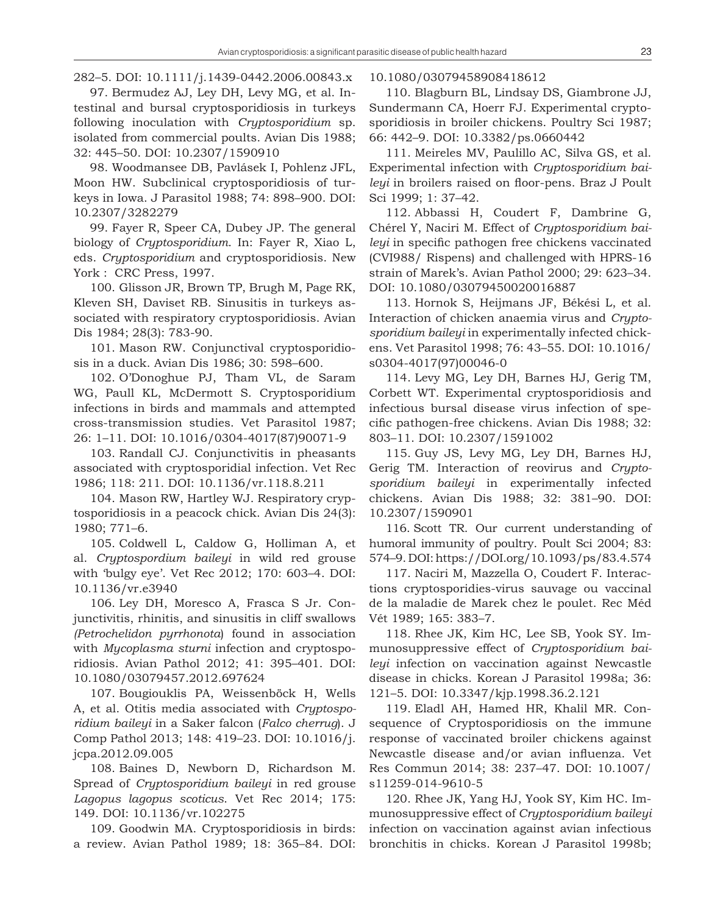282–5. DOI: 10.1111/j.1439-0442.2006.00843.x

97. Bermudez AJ, Ley DH, Levy MG, et al. Intestinal and bursal cryptosporidiosis in turkeys following inoculation with *Cryptosporidium* sp. isolated from commercial poults. Avian Dis 1988; 32: 445–50. DOI: 10.2307/1590910

98. Woodmansee DB, Pavlásek I, Pohlenz JFL, Moon HW. Subclinical cryptosporidiosis of turkeys in Iowa. J Parasitol 1988; 74: 898–900. DOI: 10.2307/3282279

99. Fayer R, Speer CA, Dubey JP. The general biology of *Cryptosporidium*. In: Fayer R, Xiao L, eds. *Cryptosporidium* and cryptosporidiosis. New York : CRC Press, 1997.

100. Glisson JR, Brown TP, Brugh M, Page RK, Kleven SH, Daviset RB. Sinusitis in turkeys associated with respiratory cryptosporidiosis. Avian Dis 1984; 28(3): 783-90.

101. Mason RW. Conjunctival cryptosporidiosis in a duck. Avian Dis 1986; 30: 598–600.

102. O'Donoghue PJ, Tham VL, de Saram WG, Paull KL, McDermott S. Cryptosporidium infections in birds and mammals and attempted cross-transmission studies. Vet Parasitol 1987; 26: 1–11. DOI: 10.1016/0304-4017(87)90071-9

103. Randall CJ. Conjunctivitis in pheasants associated with cryptosporidial infection. Vet Rec 1986; 118: 211. DOI: 10.1136/vr.118.8.211

104. Mason RW, Hartley WJ. Respiratory cryptosporidiosis in a peacock chick. Avian Dis 24(3): 1980; 771–6.

105. Coldwell L, Caldow G, Holliman A, et al. *Cryptospordium baileyi* in wild red grouse with 'bulgy eye'. Vet Rec 2012; 170: 603–4. DOI: 10.1136/vr.e3940

106. Ley DH, Moresco A, Frasca S Jr. Conjunctivitis, rhinitis, and sinusitis in cliff swallows *(Petrochelidon pyrrhonota*) found in association with *Mycoplasma sturni* infection and cryptosporidiosis. Avian Pathol 2012; 41: 395–401. DOI: 10.1080/03079457.2012.697624

107. Bougiouklis PA, Weissenböck H, Wells A, et al. Otitis media associated with *Cryptosporidium baileyi* in a Saker falcon (*Falco cherrug*). J Comp Pathol 2013; 148: 419–23. DOI: 10.1016/j. jcpa.2012.09.005

108. Baines D, Newborn D, Richardson M. Spread of *Cryptosporidium baileyi* in red grouse *Lagopus lagopus scoticus*. Vet Rec 2014; 175: 149. DOI: 10.1136/vr.102275

109. Goodwin MA. Cryptosporidiosis in birds: a review. Avian Pathol 1989; 18: 365–84. DOI: 10.1080/03079458908418612

110. Blagburn BL, Lindsay DS, Giambrone JJ, Sundermann CA, Hoerr FJ. Experimental cryptosporidiosis in broiler chickens. Poultry Sci 1987; 66: 442–9. DOI: 10.3382/ps.0660442

111. Meireles MV, Paulillo AC, Silva GS, et al. Experimental infection with *Cryptosporidium baileyi* in broilers raised on floor-pens. Braz J Poult Sci 1999; 1: 37–42.

112. Abbassi H, Coudert F, Dambrine G, Chérel Y, Naciri M. Effect of *Cryptosporidium baileyi* in specific pathogen free chickens vaccinated (CVI988/ Rispens) and challenged with HPRS-16 strain of Marek's. Avian Pathol 2000; 29: 623–34. DOI: 10.1080/03079450020016887

113. Hornok S, Heijmans JF, Békési L, et al. Interaction of chicken anaemia virus and *Cryptosporidium baileyi* in experimentally infected chickens. Vet Parasitol 1998; 76: 43–55. DOI: 10.1016/ s0304-4017(97)00046-0

114. Levy MG, Ley DH, Barnes HJ, Gerig TM, Corbett WT. Experimental cryptosporidiosis and infectious bursal disease virus infection of specific pathogen-free chickens. Avian Dis 1988; 32: 803–11. DOI: 10.2307/1591002

115. Guy JS, Levy MG, Ley DH, Barnes HJ, Gerig TM. Interaction of reovirus and *Cryptosporidium baileyi* in experimentally infected chickens. Avian Dis 1988; 32: 381–90. DOI: 10.2307/1590901

116. Scott TR. Our current understanding of humoral immunity of poultry. Poult Sci 2004; 83: 574–9. DOI: https://DOI.org/10.1093/ps/83.4.574

117. Naciri M, Mazzella O, Coudert F. Interactions cryptosporidies-virus sauvage ou vaccinal de la maladie de Marek chez le poulet. Rec Méd Vét 1989; 165: 383–7.

118. Rhee JK, Kim HC, Lee SB, Yook SY. Immunosuppressive effect of *Cryptosporidium baileyi* infection on vaccination against Newcastle disease in chicks. Korean J Parasitol 1998a; 36: 121–5. DOI: 10.3347/kjp.1998.36.2.121

119. Eladl AH, Hamed HR, Khalil MR. Consequence of Cryptosporidiosis on the immune response of vaccinated broiler chickens against Newcastle disease and/or avian influenza. Vet Res Commun 2014; 38: 237–47. DOI: 10.1007/ s11259-014-9610-5

120. Rhee JK, Yang HJ, Yook SY, Kim HC. Immunosuppressive effect of *Cryptosporidium baileyi* infection on vaccination against avian infectious bronchitis in chicks. Korean J Parasitol 1998b;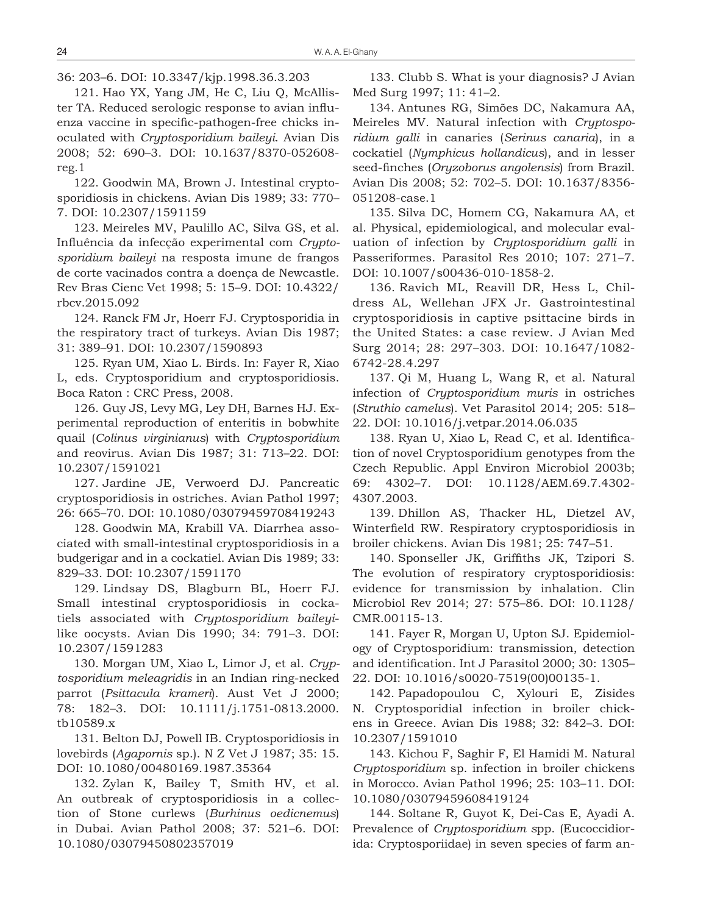36: 203–6. DOI: 10.3347/kjp.1998.36.3.203

121. Hao YX, Yang JM, He C, Liu Q, McAllister TA. Reduced serologic response to avian influenza vaccine in specific-pathogen-free chicks inoculated with *Cryptosporidium baileyi*. Avian Dis 2008; 52: 690–3. DOI: 10.1637/8370-052608 reg.1

122. Goodwin MA, Brown J. Intestinal cryptosporidiosis in chickens. Avian Dis 1989; 33: 770– 7. DOI: 10.2307/1591159

123. Meireles MV, Paulillo AC, Silva GS, et al. Influência da infecção experimental com *Cryptosporidium baileyi* na resposta imune de frangos de corte vacinados contra a doença de Newcastle. Rev Bras Cienc Vet 1998; 5: 15–9. DOI: 10.4322/ rbcv.2015.092

124. Ranck FM Jr, Hoerr FJ. Cryptosporidia in the respiratory tract of turkeys. Avian Dis 1987; 31: 389–91. DOI: 10.2307/1590893

125. Ryan UM, Xiao L. Birds. In: Fayer R, Xiao L, eds. Cryptosporidium and cryptosporidiosis. Boca Raton : CRC Press, 2008.

126. Guy JS, Levy MG, Ley DH, Barnes HJ. Experimental reproduction of enteritis in bobwhite quail (*Colinus virginianus*) with *Cryptosporidium* and reovirus. Avian Dis 1987; 31: 713–22. DOI: 10.2307/1591021

127. Jardine JE, Verwoerd DJ. Pancreatic cryptosporidiosis in ostriches. Avian Pathol 1997; 26: 665–70. DOI: 10.1080/03079459708419243

128. Goodwin MA, Krabill VA. Diarrhea associated with small-intestinal cryptosporidiosis in a budgerigar and in a cockatiel. Avian Dis 1989; 33: 829–33. DOI: 10.2307/1591170

129. Lindsay DS, Blagburn BL, Hoerr FJ. Small intestinal cryptosporidiosis in cockatiels associated with *Cryptosporidium baileyi*like oocysts. Avian Dis 1990; 34: 791–3. DOI: 10.2307/1591283

130. Morgan UM, Xiao L, Limor J, et al. *Cryptosporidium meleagridis* in an Indian ring-necked parrot (*Psittacula krameri*). Aust Vet J 2000; 78: 182–3. DOI: 10.1111/j.1751-0813.2000. tb10589.x

131. Belton DJ, Powell IB. Cryptosporidiosis in lovebirds (*Agapornis* sp.). N Z Vet J 1987; 35: 15. DOI: 10.1080/00480169.1987.35364

132. Zylan K, Bailey T, Smith HV, et al. An outbreak of cryptosporidiosis in a collection of Stone curlews (*Burhinus oedicnemus*) in Dubai. Avian Pathol 2008; 37: 521–6. DOI: 10.1080/03079450802357019

133. Clubb S. What is your diagnosis? J Avian Med Surg 1997; 11: 41–2.

134. Antunes RG, Simões DC, Nakamura AA, Meireles MV. Natural infection with *Cryptosporidium galli* in canaries (*Serinus canaria*), in a cockatiel (*Nymphicus hollandicus*), and in lesser seed-finches (*Oryzoborus angolensis*) from Brazil. Avian Dis 2008; 52: 702–5. DOI: 10.1637/8356- 051208-case.1

135. Silva DC, Homem CG, Nakamura AA, et al. Physical, epidemiological, and molecular evaluation of infection by *Cryptosporidium galli* in Passeriformes. Parasitol Res 2010; 107: 271–7. DOI: 10.1007/s00436-010-1858-2.

136. Ravich ML, Reavill DR, Hess L, Childress AL, Wellehan JFX Jr. Gastrointestinal cryptosporidiosis in captive psittacine birds in the United States: a case review. J Avian Med Surg 2014; 28: 297–303. DOI: 10.1647/1082- 6742-28.4.297

137. Qi M, Huang L, Wang R, et al. Natural infection of *Cryptosporidium muris* in ostriches (*Struthio camelus*). Vet Parasitol 2014; 205: 518– 22. DOI: 10.1016/j.vetpar.2014.06.035

138. Ryan U, Xiao L, Read C, et al. Identification of novel Cryptosporidium genotypes from the Czech Republic. Appl Environ Microbiol 2003b; 69: 4302–7. DOI: 10.1128/AEM.69.7.4302- 4307.2003.

139. Dhillon AS, Thacker HL, Dietzel AV, Winterfield RW. Respiratory cryptosporidiosis in broiler chickens. Avian Dis 1981; 25: 747–51.

140. Sponseller JK, Griffiths JK, Tzipori S. The evolution of respiratory cryptosporidiosis: evidence for transmission by inhalation. Clin Microbiol Rev 2014; 27: 575–86. DOI: 10.1128/ CMR.00115-13.

141. Fayer R, Morgan U, Upton SJ. Epidemiology of Cryptosporidium: transmission, detection and identification. Int J Parasitol 2000; 30: 1305– 22. DOI: 10.1016/s0020-7519(00)00135-1.

142. Papadopoulou C, Xylouri E, Zisides N. Cryptosporidial infection in broiler chickens in Greece. Avian Dis 1988; 32: 842–3. DOI: 10.2307/1591010

143. Kichou F, Saghir F, El Hamidi M. Natural *Cryptosporidium* sp. infection in broiler chickens in Morocco. Avian Pathol 1996; 25: 103–11. DOI: 10.1080/03079459608419124

144. Soltane R, Guyot K, Dei-Cas E, Ayadi A. Prevalence of *Cryptosporidium s*pp. (Eucoccidiorida: Cryptosporiidae) in seven species of farm an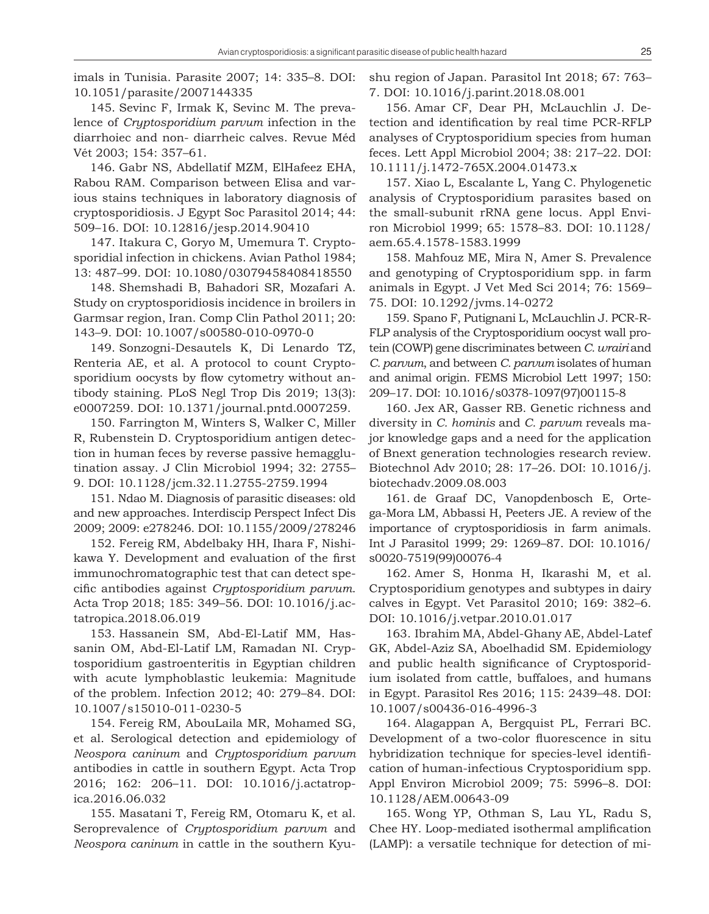imals in Tunisia. Parasite 2007; 14: 335–8. DOI: 10.1051/parasite/2007144335

145. Sevinc F, Irmak K, Sevinc M. The prevalence of *Cryptosporidium parvum* infection in the diarrhoiec and non- diarrheic calves. Revue Méd Vét 2003; 154: 357–61.

146. Gabr NS, Abdellatif MZM, ElHafeez EHA, Rabou RAM. Comparison between Elisa and various stains techniques in laboratory diagnosis of cryptosporidiosis. J Egypt Soc Parasitol 2014; 44: 509–16. DOI: 10.12816/jesp.2014.90410

147. Itakura C, Goryo M, Umemura T. Cryptosporidial infection in chickens. Avian Pathol 1984; 13: 487–99. DOI: 10.1080/03079458408418550

148. Shemshadi B, Bahadori SR, Mozafari A. Study on cryptosporidiosis incidence in broilers in Garmsar region, Iran. Comp Clin Pathol 2011; 20: 143–9. DOI: 10.1007/s00580-010-0970-0

149. Sonzogni-Desautels K, Di Lenardo TZ, Renteria AE, et al. A protocol to count Cryptosporidium oocysts by flow cytometry without antibody staining. PLoS Negl Trop Dis 2019; 13(3): e0007259. DOI: 10.1371/journal.pntd.0007259.

150. Farrington M, Winters S, Walker C, Miller R, Rubenstein D. Cryptosporidium antigen detection in human feces by reverse passive hemagglutination assay. J Clin Microbiol 1994; 32: 2755– 9. DOI: 10.1128/jcm.32.11.2755-2759.1994

151. Ndao M. Diagnosis of parasitic diseases: old and new approaches. Interdiscip Perspect Infect Dis 2009; 2009: e278246. DOI: 10.1155/2009/278246

152. Fereig RM, Abdelbaky HH, Ihara F, Nishikawa Y. Development and evaluation of the first immunochromatographic test that can detect specific antibodies against *Cryptosporidium parvum*. Acta Trop 2018; 185: 349–56. DOI: 10.1016/j.actatropica.2018.06.019

153. Hassanein SM, Abd-El-Latif MM, Hassanin OM, Abd-El-Latif LM, Ramadan NI. Cryptosporidium gastroenteritis in Egyptian children with acute lymphoblastic leukemia: Magnitude of the problem. Infection 2012; 40: 279–84. DOI: 10.1007/s15010-011-0230-5

154. Fereig RM, AbouLaila MR, Mohamed SG, et al. Serological detection and epidemiology of *Neospora caninum* and *Cryptosporidium parvum* antibodies in cattle in southern Egypt. Acta Trop 2016; 162: 206–11. DOI: 10.1016/j.actatropica.2016.06.032

155. Masatani T, Fereig RM, Otomaru K, et al. Seroprevalence of *Cryptosporidium parvum* and *Neospora caninum* in cattle in the southern Kyushu region of Japan. Parasitol Int 2018; 67: 763– 7. DOI: 10.1016/j.parint.2018.08.001

156. Amar CF, Dear PH, McLauchlin J. Detection and identification by real time PCR-RFLP analyses of Cryptosporidium species from human feces. Lett Appl Microbiol 2004; 38: 217–22. DOI: 10.1111/j.1472-765X.2004.01473.x

157. Xiao L, Escalante L, Yang C. Phylogenetic analysis of Cryptosporidium parasites based on the small-subunit rRNA gene locus. Appl Environ Microbiol 1999; 65: 1578–83. DOI: 10.1128/ aem.65.4.1578-1583.1999

158. Mahfouz ME, Mira N, Amer S. Prevalence and genotyping of Cryptosporidium spp. in farm animals in Egypt. J Vet Med Sci 2014; 76: 1569– 75. DOI: 10.1292/jvms.14-0272

159. Spano F, Putignani L, McLauchlin J. PCR-R-FLP analysis of the Cryptosporidium oocyst wall protein (COWP) gene discriminates between *C. wrairi* and *C. parvum*, and between *C. parvum* isolates of human and animal origin. FEMS Microbiol Lett 1997; 150: 209–17. DOI: 10.1016/s0378-1097(97)00115-8

160. Jex AR, Gasser RB. Genetic richness and diversity in *C. hominis* and *C. parvum* reveals major knowledge gaps and a need for the application of Bnext generation technologies research review. Biotechnol Adv 2010; 28: 17–26. DOI: 10.1016/j. biotechadv.2009.08.003

161. de Graaf DC, Vanopdenbosch E, Ortega-Mora LM, Abbassi H, Peeters JE. A review of the importance of cryptosporidiosis in farm animals. Int J Parasitol 1999; 29: 1269–87. DOI: 10.1016/ s0020-7519(99)00076-4

162. Amer S, Honma H, Ikarashi M, et al. Cryptosporidium genotypes and subtypes in dairy calves in Egypt. Vet Parasitol 2010; 169: 382–6. DOI: 10.1016/j.vetpar.2010.01.017

163. Ibrahim MA, Abdel-Ghany AE, Abdel-Latef GK, Abdel-Aziz SA, Aboelhadid SM. Epidemiology and public health significance of Cryptosporidium isolated from cattle, buffaloes, and humans in Egypt. Parasitol Res 2016; 115: 2439–48. DOI: 10.1007/s00436-016-4996-3

164. Alagappan A, Bergquist PL, Ferrari BC. Development of a two-color fluorescence in situ hybridization technique for species-level identification of human-infectious Cryptosporidium spp. Appl Environ Microbiol 2009; 75: 5996–8. DOI: 10.1128/AEM.00643-09

165. Wong YP, Othman S, Lau YL, Radu S, Chee HY. Loop-mediated isothermal amplification (LAMP): a versatile technique for detection of mi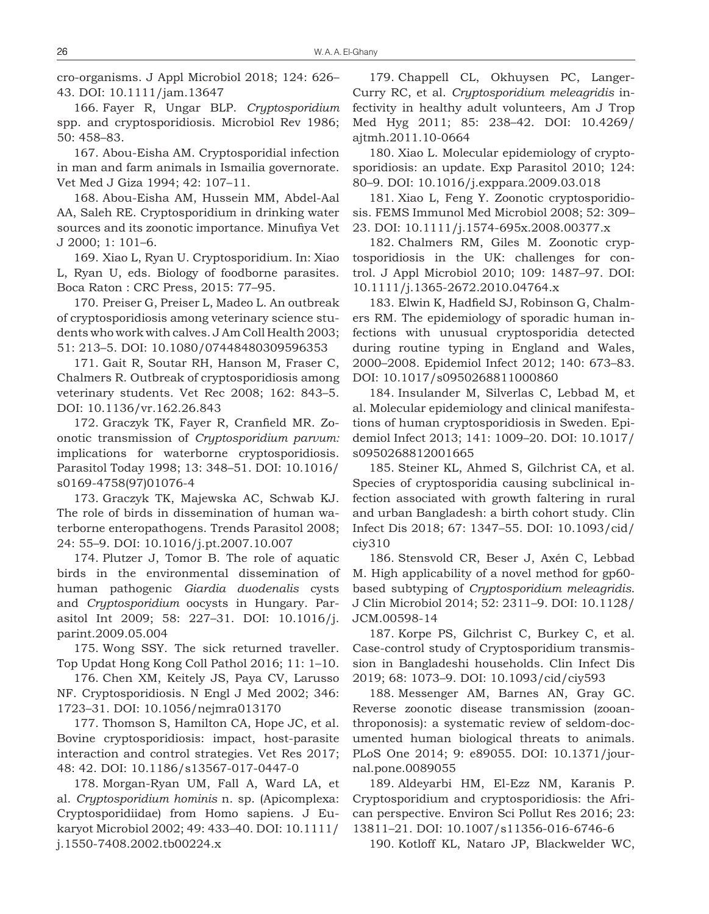cro-organisms. J Appl Microbiol 2018; 124: 626– 43. DOI: 10.1111/jam.13647

166. Fayer R, Ungar BLP. *Cryptosporidium* spp. and cryptosporidiosis. Microbiol Rev 1986; 50: 458–83.

167. Abou-Eisha AM. Cryptosporidial infection in man and farm animals in Ismailia governorate. Vet Med J Giza 1994; 42: 107–11.

168. Abou-Eisha AM, Hussein MM, Abdel-Aal AA, Saleh RE. Cryptosporidium in drinking water sources and its zoonotic importance. Minufiya Vet J 2000; 1: 101–6.

169. Xiao L, Ryan U. Cryptosporidium. In: Xiao L, Ryan U, eds. Biology of foodborne parasites. Boca Raton : CRC Press, 2015: 77–95.

170. Preiser G, Preiser L, Madeo L. An outbreak of cryptosporidiosis among veterinary science students who work with calves. J Am Coll Health 2003; 51: 213–5. DOI: 10.1080/07448480309596353

171. Gait R, Soutar RH, Hanson M, Fraser C, Chalmers R. Outbreak of cryptosporidiosis among veterinary students. Vet Rec 2008; 162: 843–5. DOI: 10.1136/vr.162.26.843

172. Graczyk TK, Fayer R, Cranfield MR. Zoonotic transmission of *Cryptosporidium parvum:* implications for waterborne cryptosporidiosis. Parasitol Today 1998; 13: 348–51. DOI: 10.1016/ s0169-4758(97)01076-4

173. Graczyk TK, Majewska AC, Schwab KJ. The role of birds in dissemination of human waterborne enteropathogens. Trends Parasitol 2008; 24: 55–9. DOI: 10.1016/j.pt.2007.10.007

174. Plutzer J, Tomor B. The role of aquatic birds in the environmental dissemination of human pathogenic *Giardia duodenalis* cysts and *Cryptosporidium* oocysts in Hungary. Parasitol Int 2009; 58: 227–31. DOI: 10.1016/j. parint.2009.05.004

175. Wong SSY. The sick returned traveller. Top Updat Hong Kong Coll Pathol 2016; 11: 1–10.

176. Chen XM, Keitely JS, Paya CV, Larusso NF. Cryptosporidiosis. N Engl J Med 2002; 346: 1723–31. DOI: 10.1056/nejmra013170

177. Thomson S, Hamilton CA, Hope JC, et al. Bovine cryptosporidiosis: impact, host-parasite interaction and control strategies. Vet Res 2017; 48: 42. DOI: 10.1186/s13567-017-0447-0

178. Morgan-Ryan UM, Fall A, Ward LA, et al. *Cryptosporidium hominis* n. sp. (Apicomplexa: Cryptosporidiidae) from Homo sapiens. J Eukaryot Microbiol 2002; 49: 433–40. DOI: 10.1111/ j.1550-7408.2002.tb00224.x

179. Chappell CL, Okhuysen PC, Langer-Curry RC, et al. *Cryptosporidium meleagridis* infectivity in healthy adult volunteers, Am J Trop Med Hyg 2011; 85: 238–42. DOI: 10.4269/ ajtmh.2011.10-0664

180. Xiao L. Molecular epidemiology of cryptosporidiosis: an update. Exp Parasitol 2010; 124: 80–9. DOI: 10.1016/j.exppara.2009.03.018

181. Xiao L, Feng Y. Zoonotic cryptosporidiosis. FEMS Immunol Med Microbiol 2008; 52: 309– 23. DOI: 10.1111/j.1574-695x.2008.00377.x

182. Chalmers RM, Giles M. Zoonotic cryptosporidiosis in the UK: challenges for control. J Appl Microbiol 2010; 109: 1487–97. DOI: 10.1111/j.1365-2672.2010.04764.x

183. Elwin K, Hadfield SJ, Robinson G, Chalmers RM. The epidemiology of sporadic human infections with unusual cryptosporidia detected during routine typing in England and Wales, 2000–2008. Epidemiol Infect 2012; 140: 673–83. DOI: 10.1017/s0950268811000860

184. Insulander M, Silverlas C, Lebbad M, et al. Molecular epidemiology and clinical manifestations of human cryptosporidiosis in Sweden. Epidemiol Infect 2013; 141: 1009–20. DOI: 10.1017/ s0950268812001665

185. Steiner KL, Ahmed S, Gilchrist CA, et al. Species of cryptosporidia causing subclinical infection associated with growth faltering in rural and urban Bangladesh: a birth cohort study. Clin Infect Dis 2018; 67: 1347–55. DOI: 10.1093/cid/ ciy310

186. Stensvold CR, Beser J, Axén C, Lebbad M. High applicability of a novel method for gp60 based subtyping of *Cryptosporidium meleagridis*. J Clin Microbiol 2014; 52: 2311–9. DOI: 10.1128/ JCM.00598-14

187. Korpe PS, Gilchrist C, Burkey C, et al. Case-control study of Cryptosporidium transmission in Bangladeshi households. Clin Infect Dis 2019; 68: 1073–9. DOI: 10.1093/cid/ciy593

188. Messenger AM, Barnes AN, Gray GC. Reverse zoonotic disease transmission (zooanthroponosis): a systematic review of seldom-documented human biological threats to animals. PLoS One 2014; 9: e89055. DOI: 10.1371/journal.pone.0089055

189. Aldeyarbi HM, El-Ezz NM, Karanis P. Cryptosporidium and cryptosporidiosis: the African perspective. Environ Sci Pollut Res 2016; 23: 13811–21. DOI: 10.1007/s11356-016-6746-6

190. Kotloff KL, Nataro JP, Blackwelder WC,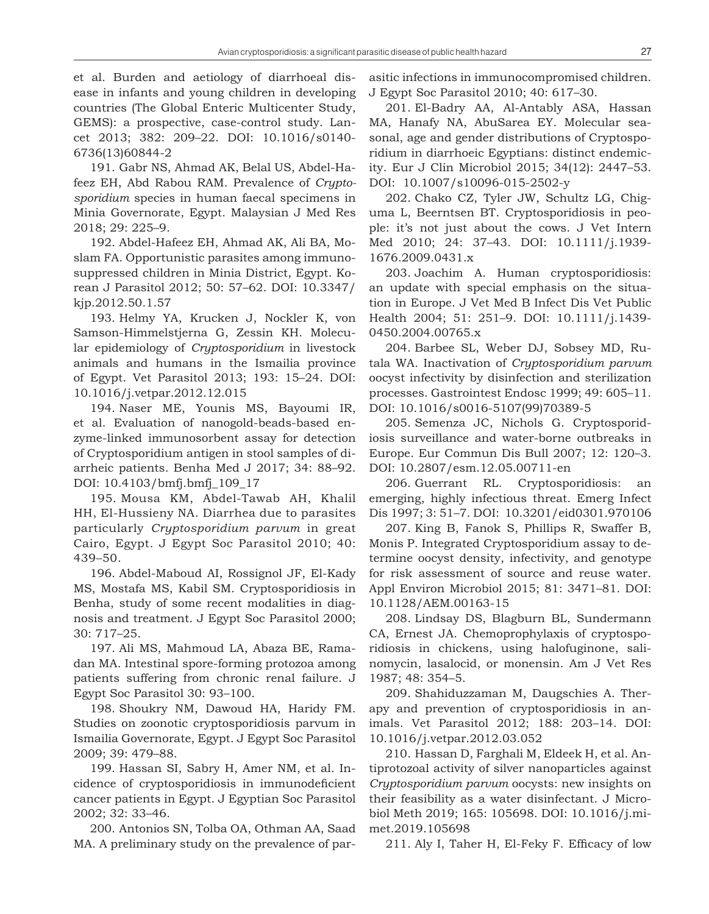et al. Burden and aetiology of diarrhoeal disease in infants and young children in developing countries (The Global Enteric Multicenter Study, GEMS): a prospective, case-control study. Lancet 2013; 382: 209–22. DOI: 10.1016/s0140- 6736(13)60844-2

191. Gabr NS, Ahmad AK, Belal US, Abdel-Hafeez EH, Abd Rabou RAM. Prevalence of *Cryptosporidium* species in human faecal specimens in Minia Governorate, Egypt. Malaysian J Med Res 2018; 29: 225–9.

192. Abdel-Hafeez EH, Ahmad AK, Ali BA, Moslam FA. Opportunistic parasites among immunosuppressed children in Minia District, Egypt. Korean J Parasitol 2012; 50: 57–62. DOI: 10.3347/ kjp.2012.50.1.57

193. Helmy YA, Krucken J, Nockler K, von Samson-Himmelstjerna G, Zessin KH. Molecular epidemiology of *Cryptosporidium* in livestock animals and humans in the Ismailia province of Egypt. Vet Parasitol 2013; 193: 15–24. DOI: 10.1016/j.vetpar.2012.12.015

194. Naser ME, Younis MS, Bayoumi IR, et al. Evaluation of nanogold-beads-based enzyme-linked immunosorbent assay for detection of Cryptosporidium antigen in stool samples of diarrheic patients. Benha Med J 2017; 34: 88–92. DOI: 10.4103/bmfj.bmfj\_109\_17

195. Mousa KM, Abdel-Tawab AH, Khalil HH, El-Hussieny NA. Diarrhea due to parasites particularly *Cryptosporidium parvum* in great Cairo, Egypt. J Egypt Soc Parasitol 2010; 40: 439–50.

196. Abdel-Maboud AI, Rossignol JF, El-Kady MS, Mostafa MS, Kabil SM. Cryptosporidiosis in Benha, study of some recent modalities in diagnosis and treatment. J Egypt Soc Parasitol 2000; 30: 717–25.

197. Ali MS, Mahmoud LA, Abaza BE, Ramadan MA. Intestinal spore-forming protozoa among patients suffering from chronic renal failure. J Egypt Soc Parasitol 30: 93–100.

198. Shoukry NM, Dawoud HA, Haridy FM. Studies on zoonotic cryptosporidiosis parvum in Ismailia Governorate, Egypt. J Egypt Soc Parasitol 2009; 39: 479–88.

199. Hassan SI, Sabry H, Amer NM, et al. Incidence of cryptosporidiosis in immunodeficient cancer patients in Egypt. J Egyptian Soc Parasitol 2002; 32: 33–46.

200. Antonios SN, Tolba OA, Othman AA, Saad MA. A preliminary study on the prevalence of parasitic infections in immunocompromised children. J Egypt Soc Parasitol 2010; 40: 617–30.

201. El-Badry AA, Al-Antably ASA, Hassan MA, Hanafy NA, AbuSarea EY. Molecular seasonal, age and gender distributions of Cryptosporidium in diarrhoeic Egyptians: distinct endemicity. Eur J Clin Microbiol 2015; 34(12): 2447–53. DOI: 10.1007/s10096-015-2502-y

202. Chako CZ, Tyler JW, Schultz LG, Chiguma L, Beerntsen BT. Cryptosporidiosis in people: it's not just about the cows. J Vet Intern Med 2010; 24: 37–43. DOI: 10.1111/j.1939- 1676.2009.0431.x

203. Joachim A. Human cryptosporidiosis: an update with special emphasis on the situation in Europe. J Vet Med B Infect Dis Vet Public Health 2004; 51: 251–9. DOI: 10.1111/j.1439- 0450.2004.00765.x

204. Barbee SL, Weber DJ, Sobsey MD, Rutala WA. Inactivation of *Cryptosporidium parvum* oocyst infectivity by disinfection and sterilization processes. Gastrointest Endosc 1999; 49: 605–11. DOI: 10.1016/s0016-5107(99)70389-5

205. Semenza JC, Nichols G. Cryptosporidiosis surveillance and water-borne outbreaks in Europe. Eur Commun Dis Bull 2007; 12: 120–3. DOI: 10.2807/esm.12.05.00711-en

206. Guerrant RL. Cryptosporidiosis: an emerging, highly infectious threat. Emerg Infect Dis 1997; 3: 51–7. DOI: 10.3201/eid0301.970106

207. King B, Fanok S, Phillips R, Swaffer B, Monis P. Integrated Cryptosporidium assay to determine oocyst density, infectivity, and genotype for risk assessment of source and reuse water. Appl Environ Microbiol 2015; 81: 3471–81. DOI: 10.1128/AEM.00163-15

208. Lindsay DS, Blagburn BL, Sundermann CA, Ernest JA. Chemoprophylaxis of cryptosporidiosis in chickens, using halofuginone, salinomycin, lasalocid, or monensin. Am J Vet Res 1987; 48: 354–5.

209. Shahiduzzaman M, Daugschies A. Therapy and prevention of cryptosporidiosis in animals. Vet Parasitol 2012; 188: 203–14. DOI: 10.1016/j.vetpar.2012.03.052

210. Hassan D, Farghali M, Eldeek H, et al. Antiprotozoal activity of silver nanoparticles against *Cryptosporidium parvum* oocysts: new insights on their feasibility as a water disinfectant. J Microbiol Meth 2019; 165: 105698. DOI: 10.1016/j.mimet.2019.105698

211. Aly I, Taher H, El-Feky F. Efficacy of low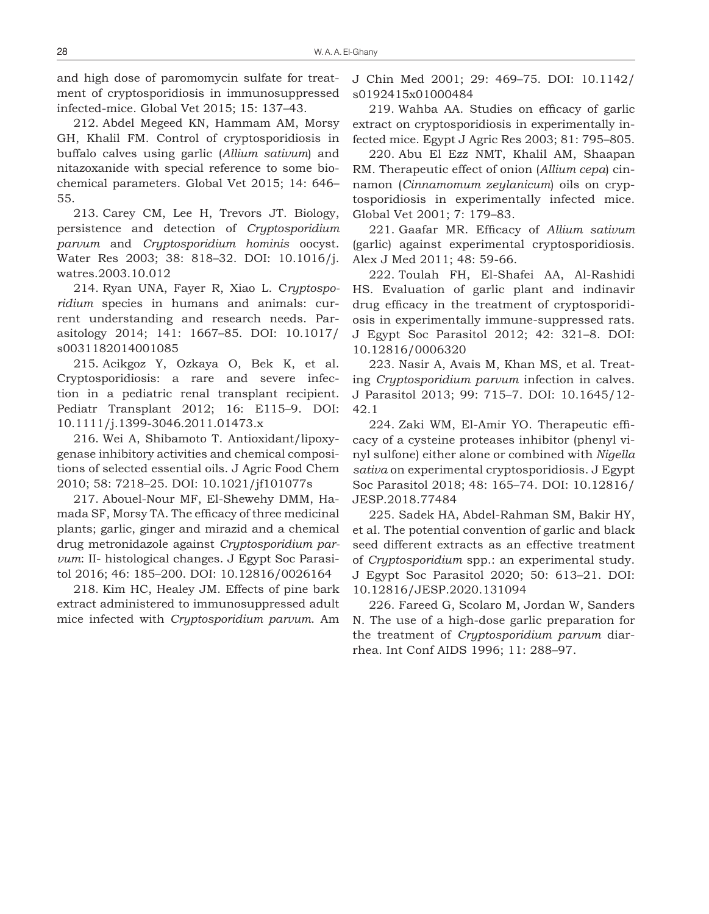and high dose of paromomycin sulfate for treatment of cryptosporidiosis in immunosuppressed infected-mice. Global Vet 2015; 15: 137–43.

212. Abdel Megeed KN, Hammam AM, Morsy GH, Khalil FM. Control of cryptosporidiosis in buffalo calves using garlic (*Allium sativum*) and nitazoxanide with special reference to some biochemical parameters. Global Vet 2015; 14: 646– 55.

213. Carey CM, Lee H, Trevors JT. Biology, persistence and detection of *Cryptosporidium parvum* and *Cryptosporidium hominis* oocyst. Water Res 2003; 38: 818–32. DOI: 10.1016/j. watres.2003.10.012

214. Ryan UNA, Fayer R, Xiao L. C*ryptosporidium* species in humans and animals: current understanding and research needs. Parasitology 2014; 141: 1667–85. DOI: 10.1017/ s0031182014001085

215. Acikgoz Y, Ozkaya O, Bek K, et al. Cryptosporidiosis: a rare and severe infection in a pediatric renal transplant recipient. Pediatr Transplant 2012; 16: E115–9. DOI: 10.1111/j.1399-3046.2011.01473.x

216. Wei A, Shibamoto T. Antioxidant/lipoxygenase inhibitory activities and chemical compositions of selected essential oils. J Agric Food Chem 2010; 58: 7218–25. DOI: 10.1021/jf101077s

217. Abouel-Nour MF, El-Shewehy DMM, Hamada SF, Morsy TA. The efficacy of three medicinal plants; garlic, ginger and mirazid and a chemical drug metronidazole against *Cryptosporidium parvum*: II- histological changes. J Egypt Soc Parasitol 2016; 46: 185–200. DOI: 10.12816/0026164

218. Kim HC, Healey JM. Effects of pine bark extract administered to immunosuppressed adult mice infected with *Cryptosporidium parvum*. Am J Chin Med 2001; 29: 469–75. DOI: 10.1142/ s0192415x01000484

219. Wahba AA. Studies on efficacy of garlic extract on cryptosporidiosis in experimentally infected mice. Egypt J Agric Res 2003; 81: 795–805.

220. Abu El Ezz NMT, Khalil AM, Shaapan RM. Therapeutic effect of onion (*Allium cepa*) cinnamon (*Cinnamomum zeylanicum*) oils on cryptosporidiosis in experimentally infected mice. Global Vet 2001; 7: 179–83.

221. Gaafar MR. Efficacy of *Allium sativum* (garlic) against experimental cryptosporidiosis. Alex J Med 2011; 48: 59-66.

222. Toulah FH, El-Shafei AA, Al-Rashidi HS. Evaluation of garlic plant and indinavir drug efficacy in the treatment of cryptosporidiosis in experimentally immune-suppressed rats. J Egypt Soc Parasitol 2012; 42: 321–8. DOI: 10.12816/0006320

223. Nasir A, Avais M, Khan MS, et al. Treating *Cryptosporidium parvum* infection in calves. J Parasitol 2013; 99: 715–7. DOI: 10.1645/12- 42.1

224. Zaki WM, El-Amir YO. Therapeutic efficacy of a cysteine proteases inhibitor (phenyl vinyl sulfone) either alone or combined with *Nigella sativa* on experimental cryptosporidiosis. J Egypt Soc Parasitol 2018; 48: 165–74. DOI: 10.12816/ JESP.2018.77484

225. Sadek HA, Abdel-Rahman SM, Bakir HY, et al. The potential convention of garlic and black seed different extracts as an effective treatment of *Cryptosporidium* spp.: an experimental study. J Egypt Soc Parasitol 2020; 50: 613–21. DOI: 10.12816/JESP.2020.131094

226. Fareed G, Scolaro M, Jordan W, Sanders N. The use of a high-dose garlic preparation for the treatment of *Cryptosporidium parvum* diarrhea. Int Conf AIDS 1996; 11: 288–97.